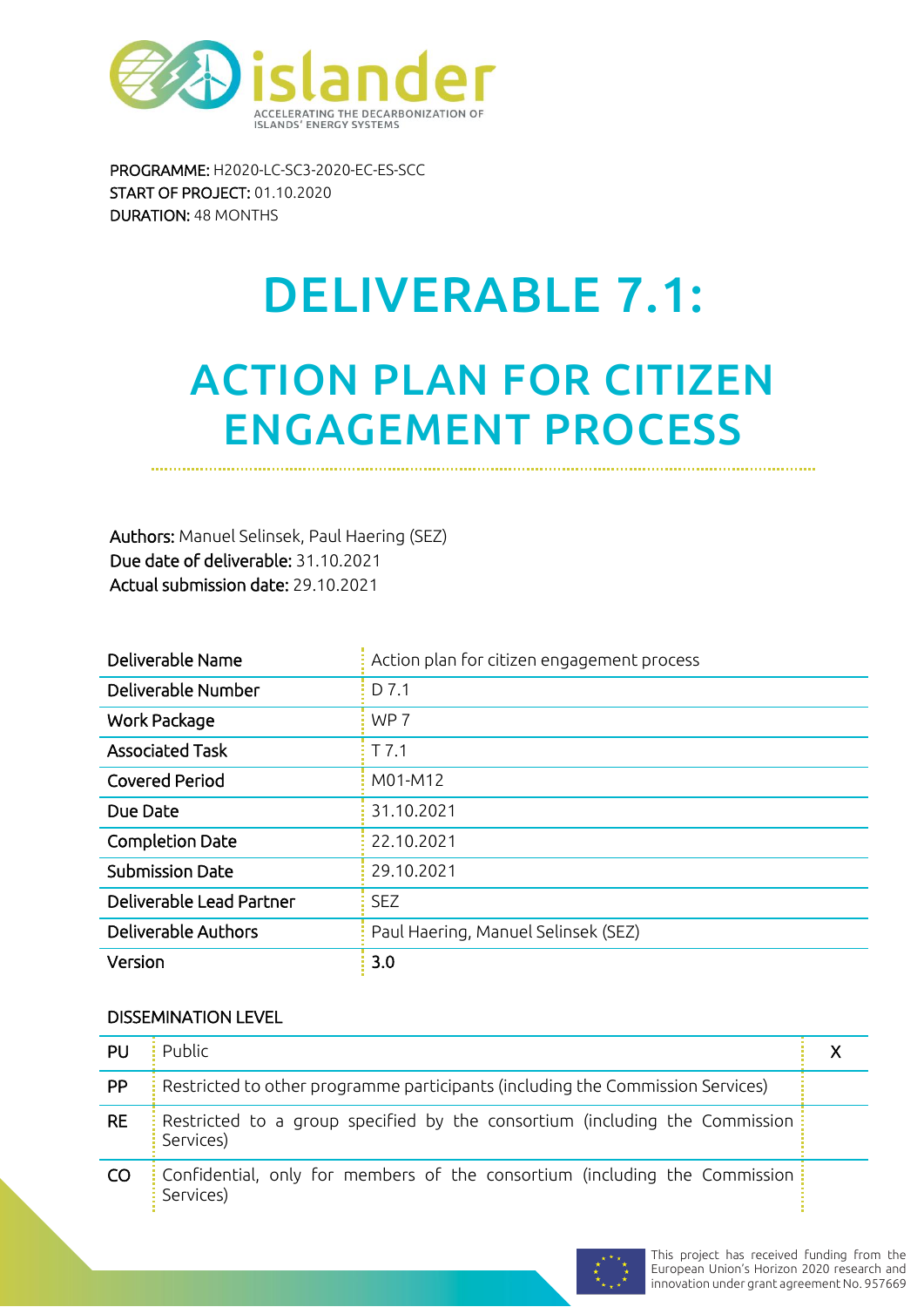

PROGRAMME: H2020-LC-SC3-2020-EC-ES-SCC START OF PROJECT: 01.10.2020 DURATION: 48 MONTHS

# DELIVERABLE 7.1:

# ACTION PLAN FOR CITIZEN ENGAGEMENT PROCESS

Authors: Manuel Selinsek, Paul Haering (SEZ) Due date of deliverable: 31.10.2021 Actual submission date: 29.10.2021

| Deliverable Name           | Action plan for citizen engagement process |
|----------------------------|--------------------------------------------|
| Deliverable Number         | D 7.1                                      |
| <b>Work Package</b>        | WP <sub>7</sub>                            |
| <b>Associated Task</b>     | $T$ 7.1                                    |
| <b>Covered Period</b>      | M01-M12                                    |
| Due Date                   | 31.10.2021                                 |
| <b>Completion Date</b>     | 22.10.2021                                 |
| <b>Submission Date</b>     | 29.10.2021                                 |
| Deliverable Lead Partner   | <b>SEZ</b>                                 |
| <b>Deliverable Authors</b> | Paul Haering, Manuel Selinsek (SEZ)        |
| Version                    | 3.0                                        |

#### DISSEMINATION LEVEL

| PU        | Public                                                                                   |  |
|-----------|------------------------------------------------------------------------------------------|--|
| <b>PP</b> | Restricted to other programme participants (including the Commission Services)           |  |
| <b>RE</b> | Restricted to a group specified by the consortium (including the Commission<br>Services) |  |
| CO        | Confidential, only for members of the consortium (including the Commission<br>Services)  |  |

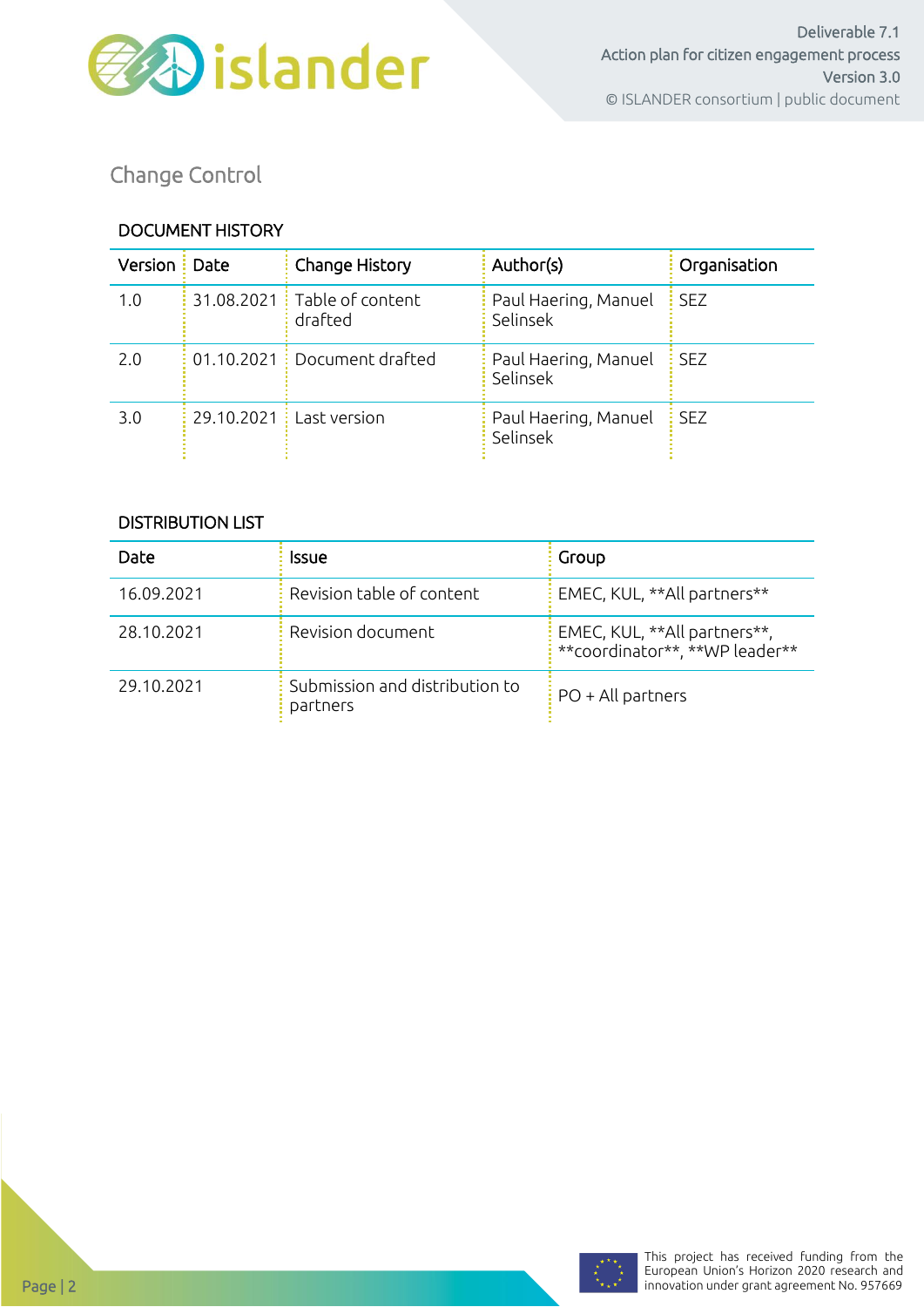

Change Control

#### DOCUMENT HISTORY

| Version : Date | Change History                           | Author(s)                        | Organisation |
|----------------|------------------------------------------|----------------------------------|--------------|
| 1.0            | 31.08.2021 : Table of content<br>drafted | Paul Haering, Manuel<br>Selinsek | <b>SEZ</b>   |
| 2.0            | $01.10.2021$ : Document drafted          | Paul Haering, Manuel<br>Selinsek | <b>SEZ</b>   |
| 3.0            | 29.10.2021 : Last version                | Paul Haering, Manuel<br>Selinsek | <b>SEZ</b>   |

#### DISTRIBUTION LIST

| Date       | Issue                                      | Group                                                          |
|------------|--------------------------------------------|----------------------------------------------------------------|
| 16.09.2021 | Revision table of content                  | EMEC, KUL, **All partners**                                    |
| 28.10.2021 | Revision document                          | EMEC, KUL, **All partners**,<br>**coordinator**, **WP leader** |
| 29.10.2021 | Submission and distribution to<br>partners | $PO + All$ partners                                            |

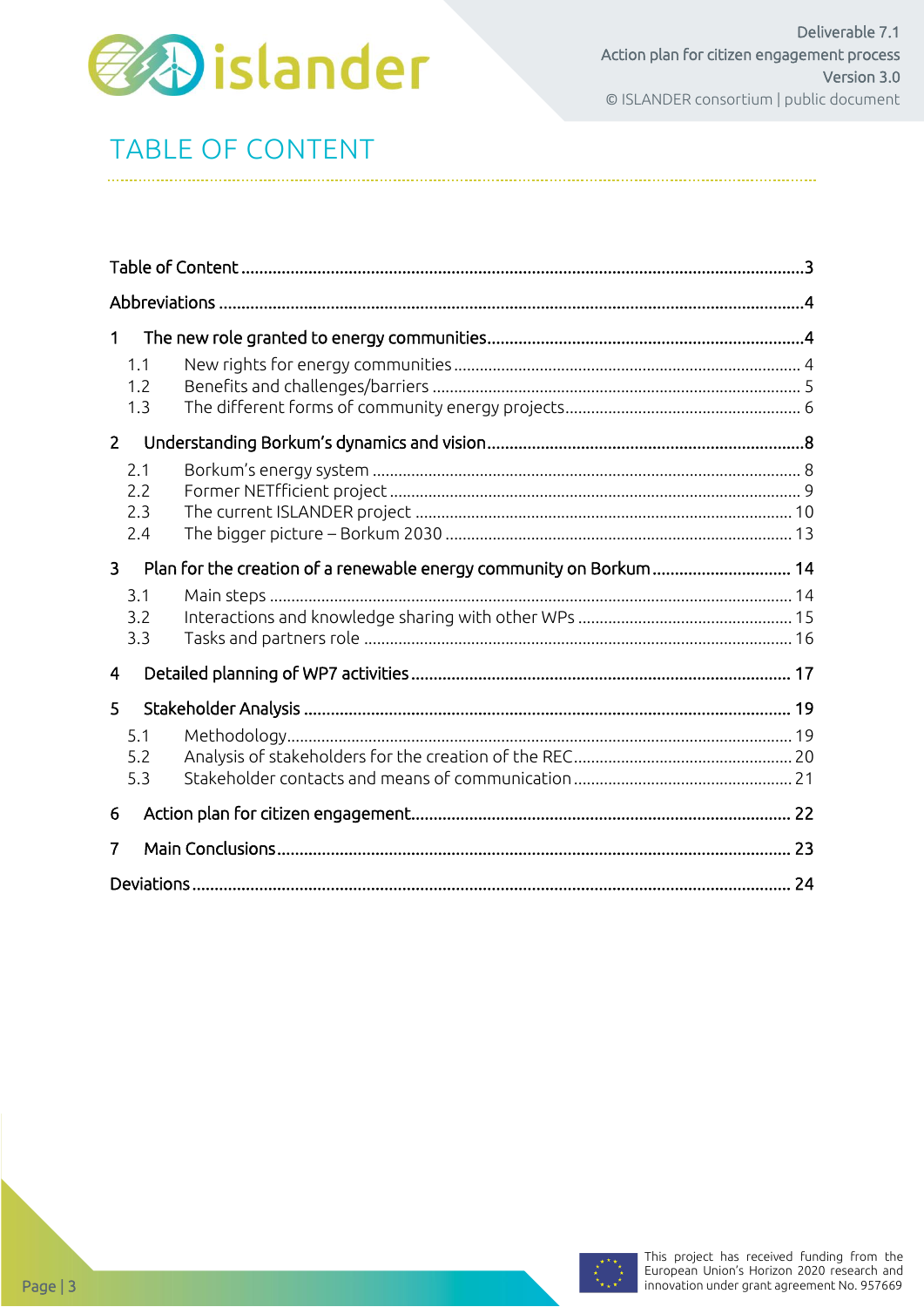

# <span id="page-2-0"></span>TABLE OF CONTENT

| 1                                                                                    |  |  |  |  |
|--------------------------------------------------------------------------------------|--|--|--|--|
| 1.1<br>1.2<br>1.3                                                                    |  |  |  |  |
| $\overline{2}$                                                                       |  |  |  |  |
| 2.1<br>2.2<br>2.3<br>2.4                                                             |  |  |  |  |
| Plan for the creation of a renewable energy community on Borkum 14<br>$\overline{3}$ |  |  |  |  |
| 3.1<br>3.2<br>3.3                                                                    |  |  |  |  |
| 4                                                                                    |  |  |  |  |
| 5                                                                                    |  |  |  |  |
| 5.1<br>5.2<br>5.3                                                                    |  |  |  |  |
| 6                                                                                    |  |  |  |  |
| 7                                                                                    |  |  |  |  |
|                                                                                      |  |  |  |  |

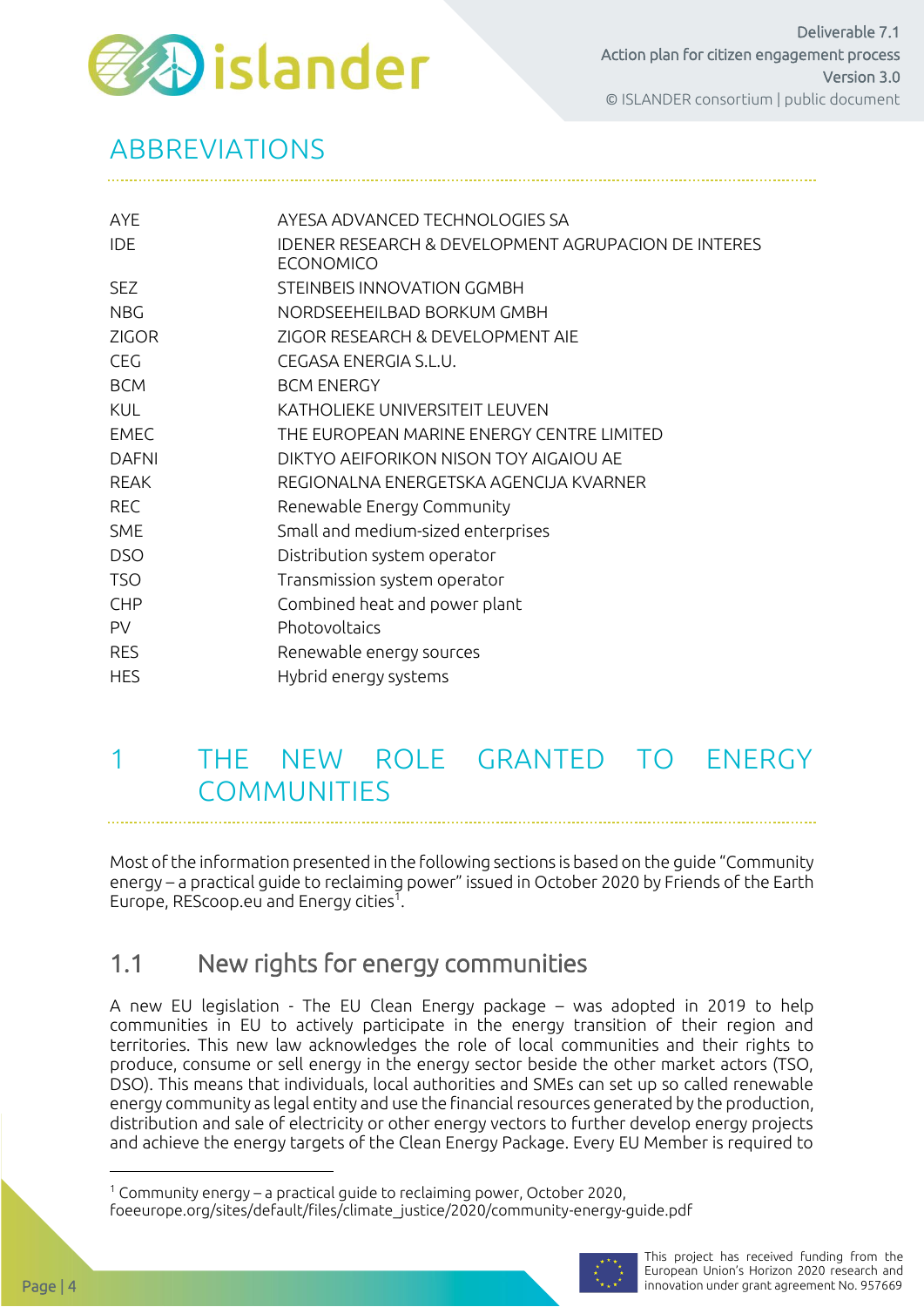

## <span id="page-3-0"></span>ABBREVIATIONS

| <b>AYE</b>   | AYESA ADVANCED TECHNOLOGIES SA                                                     |
|--------------|------------------------------------------------------------------------------------|
| <b>IDE</b>   | <b>IDENER RESEARCH &amp; DEVELOPMENT AGRUPACION DE INTERES</b><br><b>ECONOMICO</b> |
| <b>SEZ</b>   | STEINBEIS INNOVATION GGMBH                                                         |
| <b>NBG</b>   | NORDSEEHEILBAD BORKUM GMBH                                                         |
| <b>ZIGOR</b> | ZIGOR RESEARCH & DEVELOPMENT AIE                                                   |
| <b>CEG</b>   | CEGASA ENERGIA S.L.U.                                                              |
| <b>BCM</b>   | <b>BCM ENERGY</b>                                                                  |
| <b>KUL</b>   | KATHOLIEKE UNIVERSITEIT LEUVEN                                                     |
| <b>EMEC</b>  | THE EUROPEAN MARINE ENERGY CENTRE LIMITED                                          |
| <b>DAFNI</b> | DIKTYO AEIFORIKON NISON TOY AIGAIOU AE                                             |
| <b>REAK</b>  | REGIONALNA ENERGETSKA AGENCIJA KVARNER                                             |
| <b>REC</b>   | Renewable Energy Community                                                         |
| <b>SME</b>   | Small and medium-sized enterprises                                                 |
| <b>DSO</b>   | Distribution system operator                                                       |
| <b>TSO</b>   | Transmission system operator                                                       |
| <b>CHP</b>   | Combined heat and power plant                                                      |
| <b>PV</b>    | Photovoltaics                                                                      |
| <b>RES</b>   | Renewable energy sources                                                           |
| <b>HES</b>   | Hybrid energy systems                                                              |

### <span id="page-3-1"></span>1 THE NEW ROLE GRANTED TO ENERGY COMMUNITIES

Most of the information presented in the following sections is based on the guide "Community energy – a practical guide to reclaiming power" issued in October 2020 by Friends of the Earth Europe, REScoop.eu and Energy cities $^1$ .

### <span id="page-3-2"></span>1.1 New rights for energy communities

A new EU legislation - The EU Clean Energy package – was adopted in 2019 to help communities in EU to actively participate in the energy transition of their region and territories. This new law acknowledges the role of local communities and their rights to produce, consume or sell energy in the energy sector beside the other market actors (TSO, DSO). This means that individuals, local authorities and SMEs can set up so called renewable energy community as legal entity and use the financial resources generated by the production, distribution and sale of electricity or other energy vectors to further develop energy projects and achieve the energy targets of the Clean Energy Package. Every EU Member is required to

 $1$  Community energy – a practical guide to reclaiming power, October 2020, foeeurope.org/sites/default/files/climate\_justice/2020/community-energy-guide.pdf

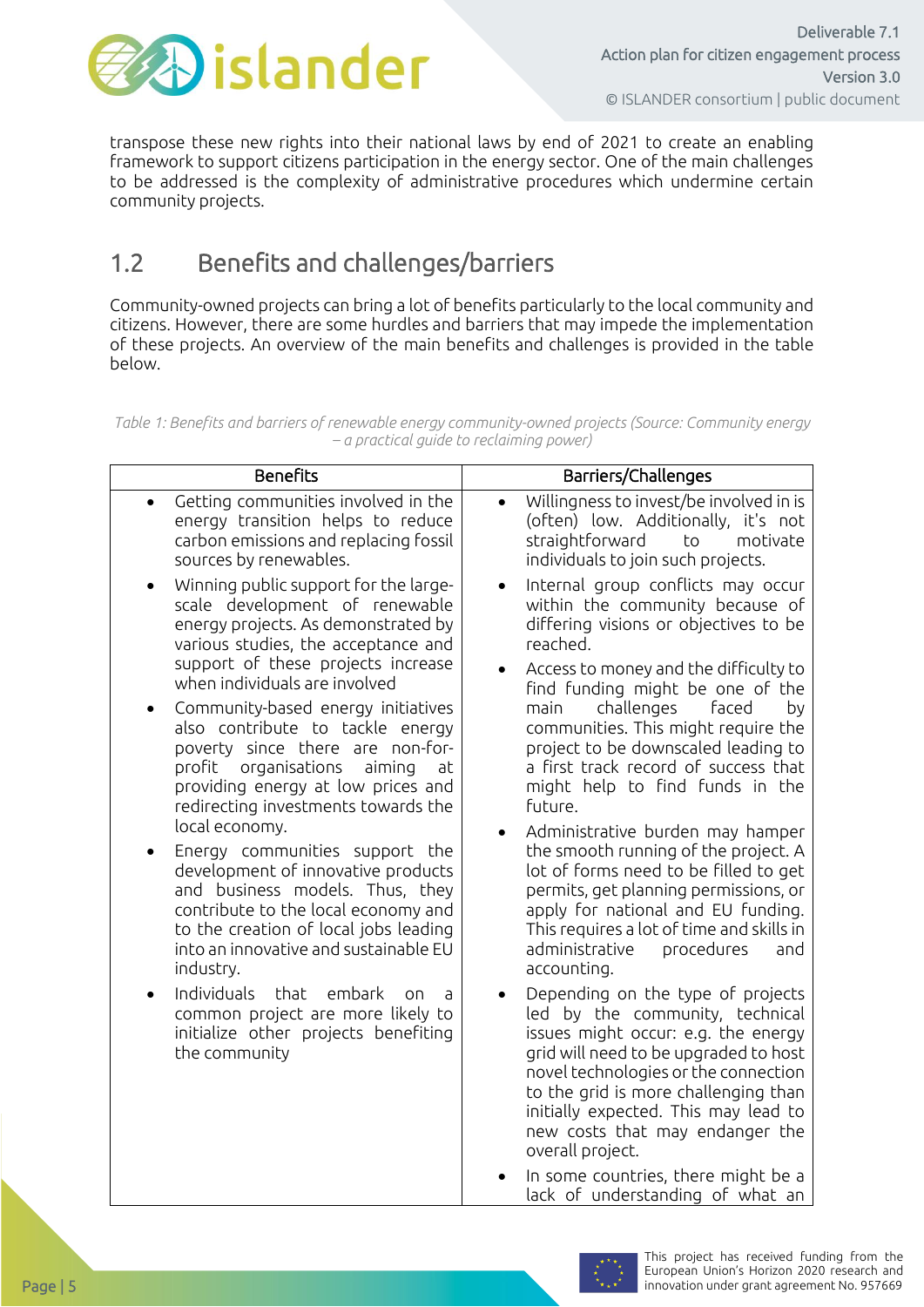

transpose these new rights into their national laws by end of 2021 to create an enabling framework to support citizens participation in the energy sector. One of the main challenges to be addressed is the complexity of administrative procedures which undermine certain community projects.

### <span id="page-4-0"></span>1.2 Benefits and challenges/barriers

Community-owned projects can bring a lot of benefits particularly to the local community and citizens. However, there are some hurdles and barriers that may impede the implementation of these projects. An overview of the main benefits and challenges is provided in the table below.

*Table 1: Benefits and barriers of renewable energy community-owned projects (Source: Community energy – a practical guide to reclaiming power)*

| <b>Benefits</b>                                                                                                                                                                                                                                                                                                                                                                                                                                                                                                                                                                                                                                                                                                                                    | Barriers/Challenges                                                                                                                                                                                                                                                                                                                                                                                                                                                                                                                                                                                                                                                                                                                |  |  |  |
|----------------------------------------------------------------------------------------------------------------------------------------------------------------------------------------------------------------------------------------------------------------------------------------------------------------------------------------------------------------------------------------------------------------------------------------------------------------------------------------------------------------------------------------------------------------------------------------------------------------------------------------------------------------------------------------------------------------------------------------------------|------------------------------------------------------------------------------------------------------------------------------------------------------------------------------------------------------------------------------------------------------------------------------------------------------------------------------------------------------------------------------------------------------------------------------------------------------------------------------------------------------------------------------------------------------------------------------------------------------------------------------------------------------------------------------------------------------------------------------------|--|--|--|
| Getting communities involved in the<br>$\bullet$<br>energy transition helps to reduce<br>carbon emissions and replacing fossil<br>sources by renewables.                                                                                                                                                                                                                                                                                                                                                                                                                                                                                                                                                                                           | Willingness to invest/be involved in is<br>(often) low. Additionally, it's not<br>straightforward<br>to<br>motivate<br>individuals to join such projects.                                                                                                                                                                                                                                                                                                                                                                                                                                                                                                                                                                          |  |  |  |
| Winning public support for the large-<br>$\bullet$<br>scale development of renewable<br>energy projects. As demonstrated by<br>various studies, the acceptance and<br>support of these projects increase<br>when individuals are involved<br>Community-based energy initiatives<br>$\bullet$<br>also contribute to tackle energy<br>poverty since there are non-for-<br>organisations<br>profit<br>aiming<br>at<br>providing energy at low prices and<br>redirecting investments towards the<br>local economy.<br>Energy communities support the<br>development of innovative products<br>and business models. Thus, they<br>contribute to the local economy and<br>to the creation of local jobs leading<br>into an innovative and sustainable EU | Internal group conflicts may occur<br>$\bullet$<br>within the community because of<br>differing visions or objectives to be<br>reached.<br>Access to money and the difficulty to<br>$\bullet$<br>find funding might be one of the<br>challenges<br>faced<br>main<br>by<br>communities. This might require the<br>project to be downscaled leading to<br>a first track record of success that<br>might help to find funds in the<br>future.<br>Administrative burden may hamper<br>the smooth running of the project. A<br>lot of forms need to be filled to get<br>permits, get planning permissions, or<br>apply for national and EU funding.<br>This requires a lot of time and skills in<br>administrative<br>procedures<br>and |  |  |  |
| industry.                                                                                                                                                                                                                                                                                                                                                                                                                                                                                                                                                                                                                                                                                                                                          | accounting.                                                                                                                                                                                                                                                                                                                                                                                                                                                                                                                                                                                                                                                                                                                        |  |  |  |
| Individuals<br>that<br>embark<br>0n<br>$\bullet$<br>a<br>common project are more likely to<br>initialize other projects benefiting<br>the community                                                                                                                                                                                                                                                                                                                                                                                                                                                                                                                                                                                                | Depending on the type of projects<br>led by the community, technical<br>issues might occur: e.g. the energy<br>grid will need to be upgraded to host<br>novel technologies or the connection<br>to the grid is more challenging than<br>initially expected. This may lead to<br>new costs that may endanger the<br>overall project.                                                                                                                                                                                                                                                                                                                                                                                                |  |  |  |
|                                                                                                                                                                                                                                                                                                                                                                                                                                                                                                                                                                                                                                                                                                                                                    | In some countries, there might be a<br>lack of understanding of what an                                                                                                                                                                                                                                                                                                                                                                                                                                                                                                                                                                                                                                                            |  |  |  |

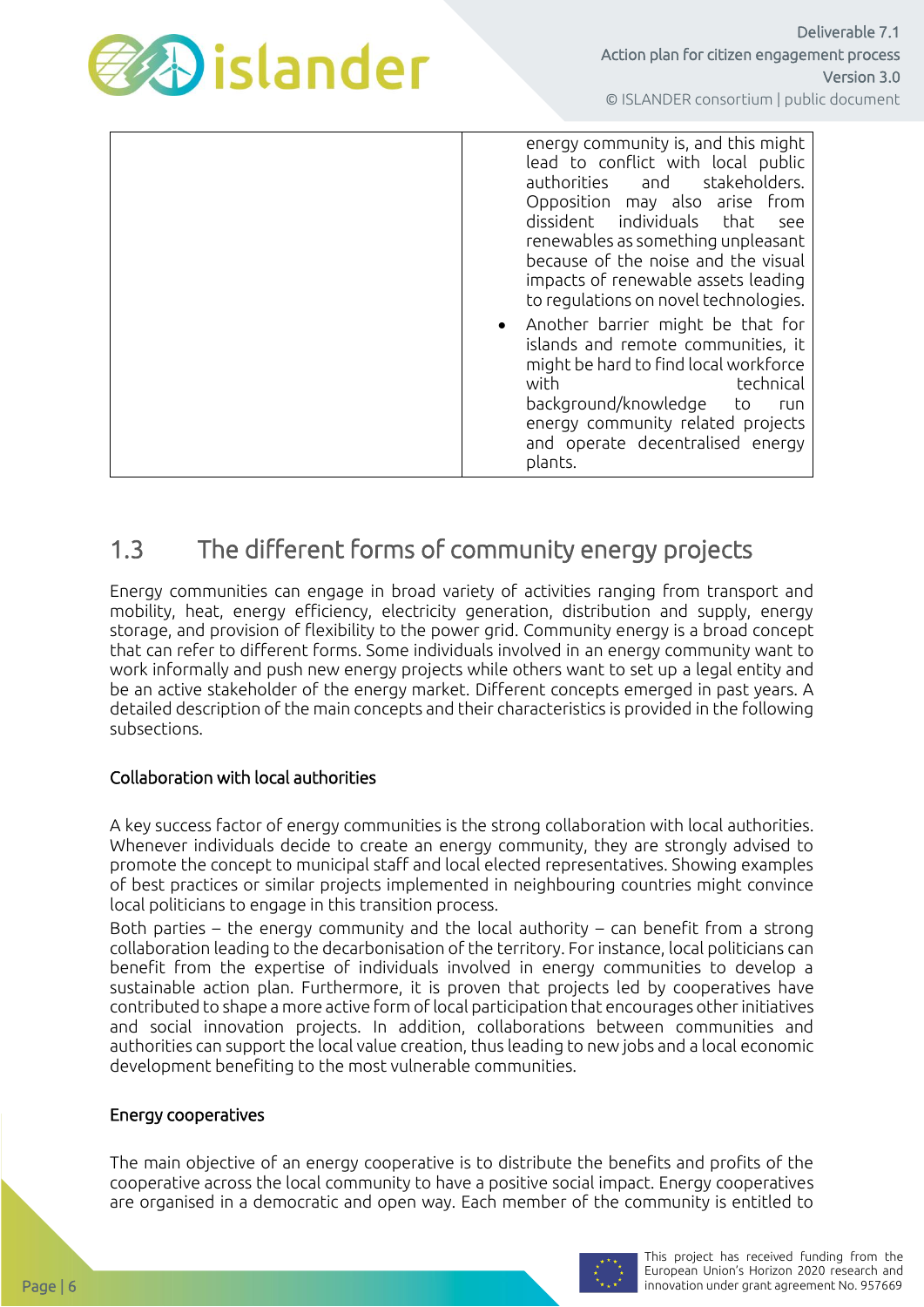

| energy community is, and this might<br>lead to conflict with local public<br>stakeholders.<br>authorities and<br>Opposition may also arise from<br>dissident individuals that<br>see<br>renewables as something unpleasant<br>because of the noise and the visual<br>impacts of renewable assets leading<br>to regulations on novel technologies. |
|---------------------------------------------------------------------------------------------------------------------------------------------------------------------------------------------------------------------------------------------------------------------------------------------------------------------------------------------------|
| • Another barrier might be that for<br>islands and remote communities, it<br>might be hard to find local workforce<br>technical<br>with<br>background/knowledge<br>to<br>run<br>energy community related projects<br>and operate decentralised energy<br>plants.                                                                                  |

### <span id="page-5-0"></span>1.3 The different forms of community energy projects

Energy communities can engage in broad variety of activities ranging from transport and mobility, heat, energy efficiency, electricity generation, distribution and supply, energy storage, and provision of flexibility to the power grid. Community energy is a broad concept that can refer to different forms. Some individuals involved in an energy community want to work informally and push new energy projects while others want to set up a legal entity and be an active stakeholder of the energy market. Different concepts emerged in past years. A detailed description of the main concepts and their characteristics is provided in the following subsections.

#### Collaboration with local authorities

A key success factor of energy communities is the strong collaboration with local authorities. Whenever individuals decide to create an energy community, they are strongly advised to promote the concept to municipal staff and local elected representatives. Showing examples of best practices or similar projects implemented in neighbouring countries might convince local politicians to engage in this transition process.

Both parties – the energy community and the local authority – can benefit from a strong collaboration leading to the decarbonisation of the territory. For instance, local politicians can benefit from the expertise of individuals involved in energy communities to develop a sustainable action plan. Furthermore, it is proven that projects led by cooperatives have contributed to shape a more active form of local participation that encourages other initiatives and social innovation projects. In addition, collaborations between communities and authorities can support the local value creation, thus leading to new jobs and a local economic development benefiting to the most vulnerable communities.

#### Energy cooperatives

The main objective of an energy cooperative is to distribute the benefits and profits of the cooperative across the local community to have a positive social impact. Energy cooperatives are organised in a democratic and open way. Each member of the community is entitled to

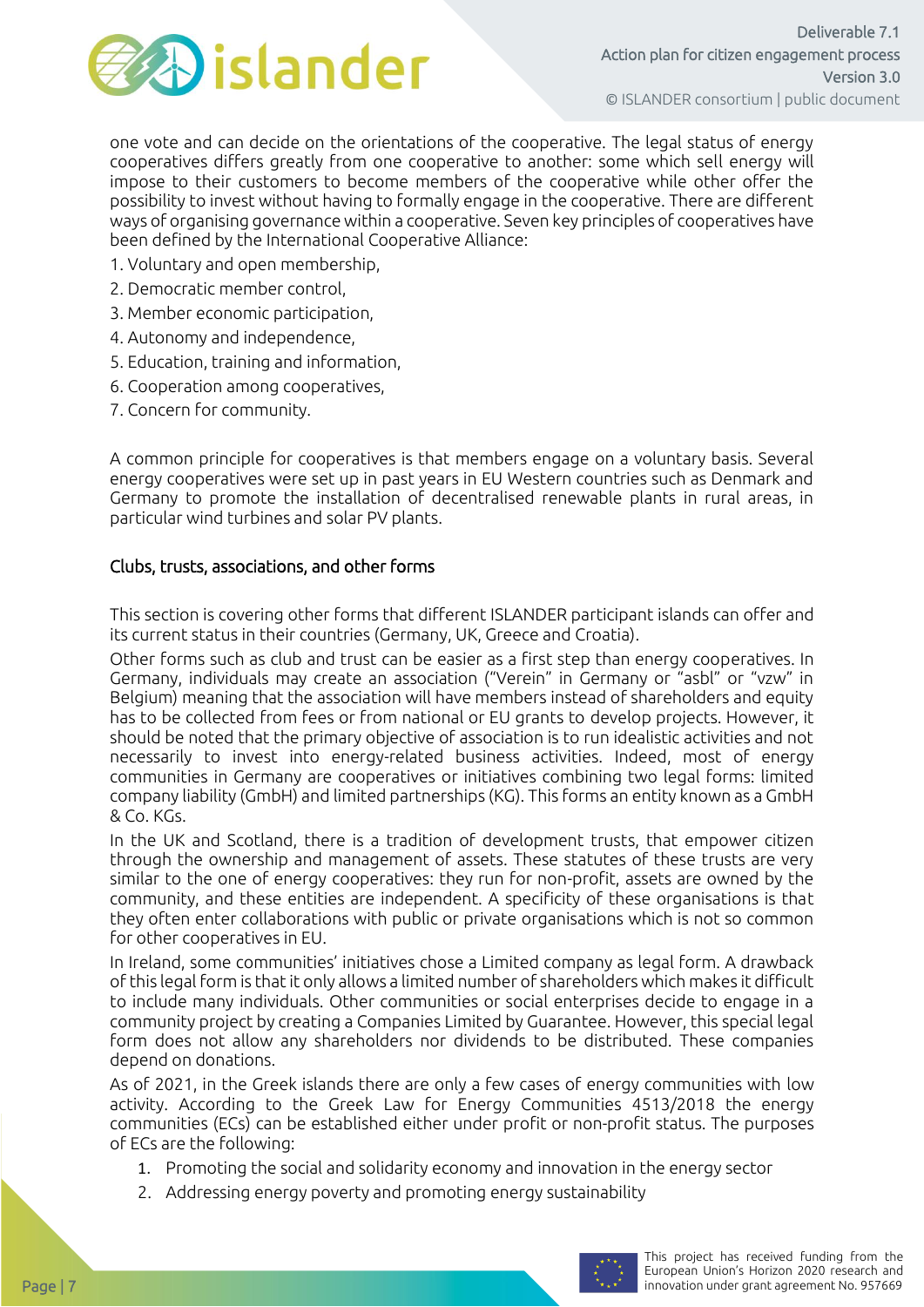

one vote and can decide on the orientations of the cooperative. The legal status of energy cooperatives differs greatly from one cooperative to another: some which sell energy will impose to their customers to become members of the cooperative while other offer the possibility to invest without having to formally engage in the cooperative. There are different ways of organising governance within a cooperative. Seven key principles of cooperatives have been defined by the International Cooperative Alliance:

- 1. Voluntary and open membership,
- 2. Democratic member control,
- 3. Member economic participation,
- 4. Autonomy and independence,
- 5. Education, training and information,
- 6. Cooperation among cooperatives,
- 7. Concern for community.

A common principle for cooperatives is that members engage on a voluntary basis. Several energy cooperatives were set up in past years in EU Western countries such as Denmark and Germany to promote the installation of decentralised renewable plants in rural areas, in particular wind turbines and solar PV plants.

#### Clubs, trusts, associations, and other forms

This section is covering other forms that different ISLANDER participant islands can offer and its current status in their countries (Germany, UK, Greece and Croatia).

Other forms such as club and trust can be easier as a first step than energy cooperatives. In Germany, individuals may create an association ("Verein" in Germany or "asbl" or "vzw" in Belgium) meaning that the association will have members instead of shareholders and equity has to be collected from fees or from national or EU grants to develop projects. However, it should be noted that the primary objective of association is to run idealistic activities and not necessarily to invest into energy-related business activities. Indeed, most of energy communities in Germany are cooperatives or initiatives combining two legal forms: limited company liability (GmbH) and limited partnerships (KG). This forms an entity known as a GmbH & Co. KGs.

In the UK and Scotland, there is a tradition of development trusts, that empower citizen through the ownership and management of assets. These statutes of these trusts are very similar to the one of energy cooperatives: they run for non-profit, assets are owned by the community, and these entities are independent. A specificity of these organisations is that they often enter collaborations with public or private organisations which is not so common for other cooperatives in EU.

In Ireland, some communities' initiatives chose a Limited company as legal form. A drawback of this legal form is that it only allows a limited number of shareholders which makes it difficult to include many individuals. Other communities or social enterprises decide to engage in a community project by creating a Companies Limited by Guarantee. However, this special legal form does not allow any shareholders nor dividends to be distributed. These companies depend on donations.

As of 2021, in the Greek islands there are only a few cases of energy communities with low activity. According to the Greek Law for Energy Communities 4513/2018 the energy communities (ECs) can be established either under profit or non-profit status. The purposes of ECs are the following:

- 1. Promoting the social and solidarity economy and innovation in the energy sector
- 2. Addressing energy poverty and promoting energy sustainability

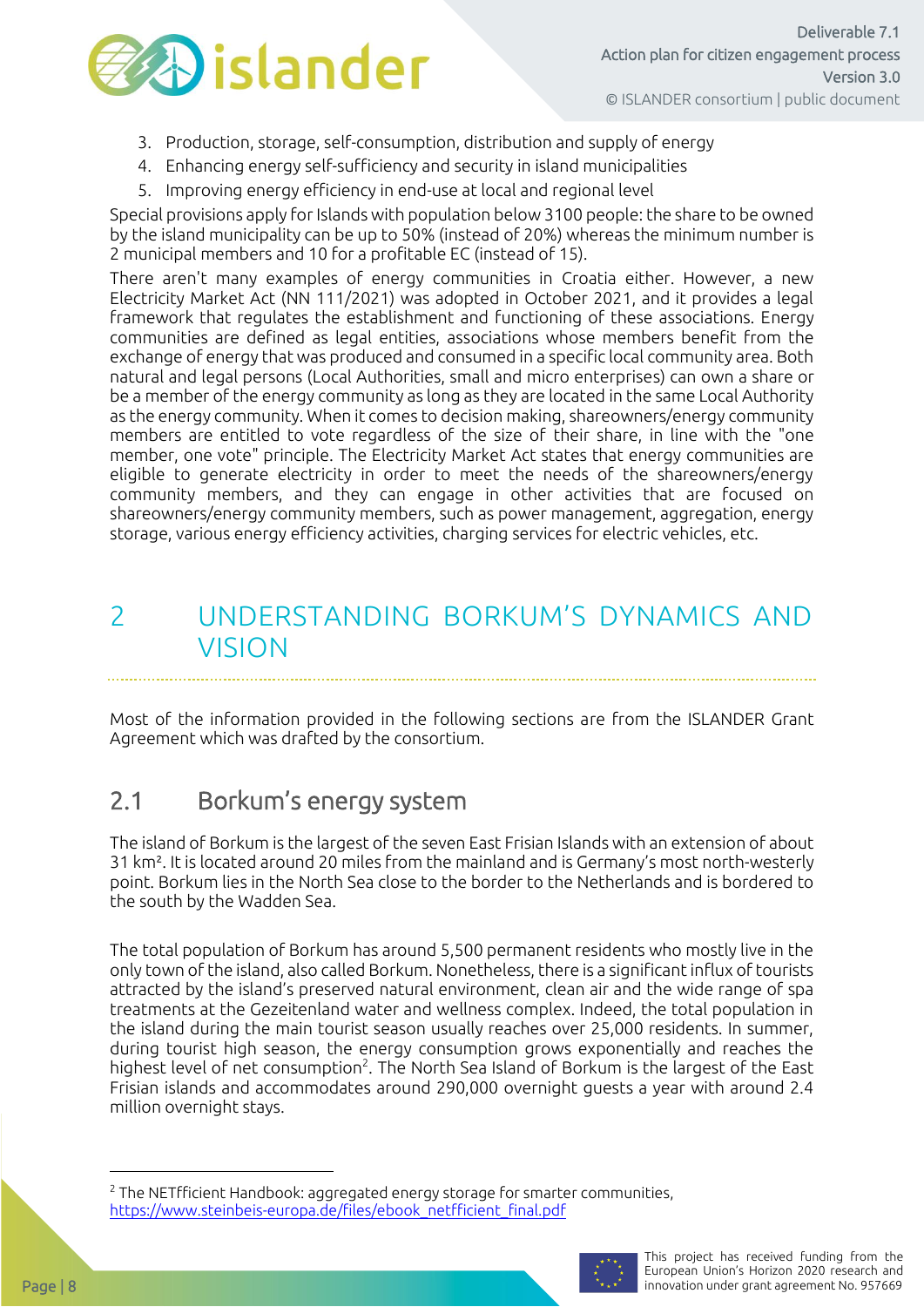

- 3. Production, storage, self-consumption, distribution and supply of energy
- 4. Enhancing energy self-sufficiency and security in island municipalities
- 5. Improving energy efficiency in end-use at local and regional level

Special provisions apply for Islands with population below 3100 people: the share to be owned by the island municipality can be up to 50% (instead of 20%) whereas the minimum number is 2 municipal members and 10 for a profitable EC (instead of 15).

There aren't many examples of energy communities in Croatia either. However, a new Electricity Market Act (NN 111/2021) was adopted in October 2021, and it provides a legal framework that regulates the establishment and functioning of these associations. Energy communities are defined as legal entities, associations whose members benefit from the exchange of energy that was produced and consumed in a specific local community area. Both natural and legal persons (Local Authorities, small and micro enterprises) can own a share or be a member of the energy community as long as they are located in the same Local Authority as the energy community. When it comes to decision making, shareowners/energy community members are entitled to vote regardless of the size of their share, in line with the "one member, one vote" principle. The Electricity Market Act states that energy communities are eligible to generate electricity in order to meet the needs of the shareowners/energy community members, and they can engage in other activities that are focused on shareowners/energy community members, such as power management, aggregation, energy storage, various energy efficiency activities, charging services for electric vehicles, etc.

### <span id="page-7-0"></span>2 UNDERSTANDING BORKUM'S DYNAMICS AND VISION

Most of the information provided in the following sections are from the ISLANDER Grant Agreement which was drafted by the consortium.

### <span id="page-7-1"></span>2.1 Borkum's energy system

The island of Borkum is the largest of the seven East Frisian Islands with an extension of about 31 km². It is located around 20 miles from the mainland and is Germany's most north-westerly point. Borkum lies in the North Sea close to the border to the Netherlands and is bordered to the south by the Wadden Sea.

The total population of Borkum has around 5,500 permanent residents who mostly live in the only town of the island, also called Borkum. Nonetheless, there is a significant influx of tourists attracted by the island's preserved natural environment, clean air and the wide range of spa treatments at the Gezeitenland water and wellness complex. Indeed, the total population in the island during the main tourist season usually reaches over 25,000 residents. In summer, during tourist high season, the energy consumption grows exponentially and reaches the highest level of net consumption<sup>2</sup>. The North Sea Island of Borkum is the largest of the East Frisian islands and accommodates around 290,000 overnight guests a year with around 2.4 million overnight stays.

 $2$  The NETfficient Handbook: aggregated energy storage for smarter communities, [https://www.steinbeis-europa.de/files/ebook\\_netfficient\\_final.pdf](https://www.steinbeis-europa.de/files/ebook_netfficient_final.pdf)

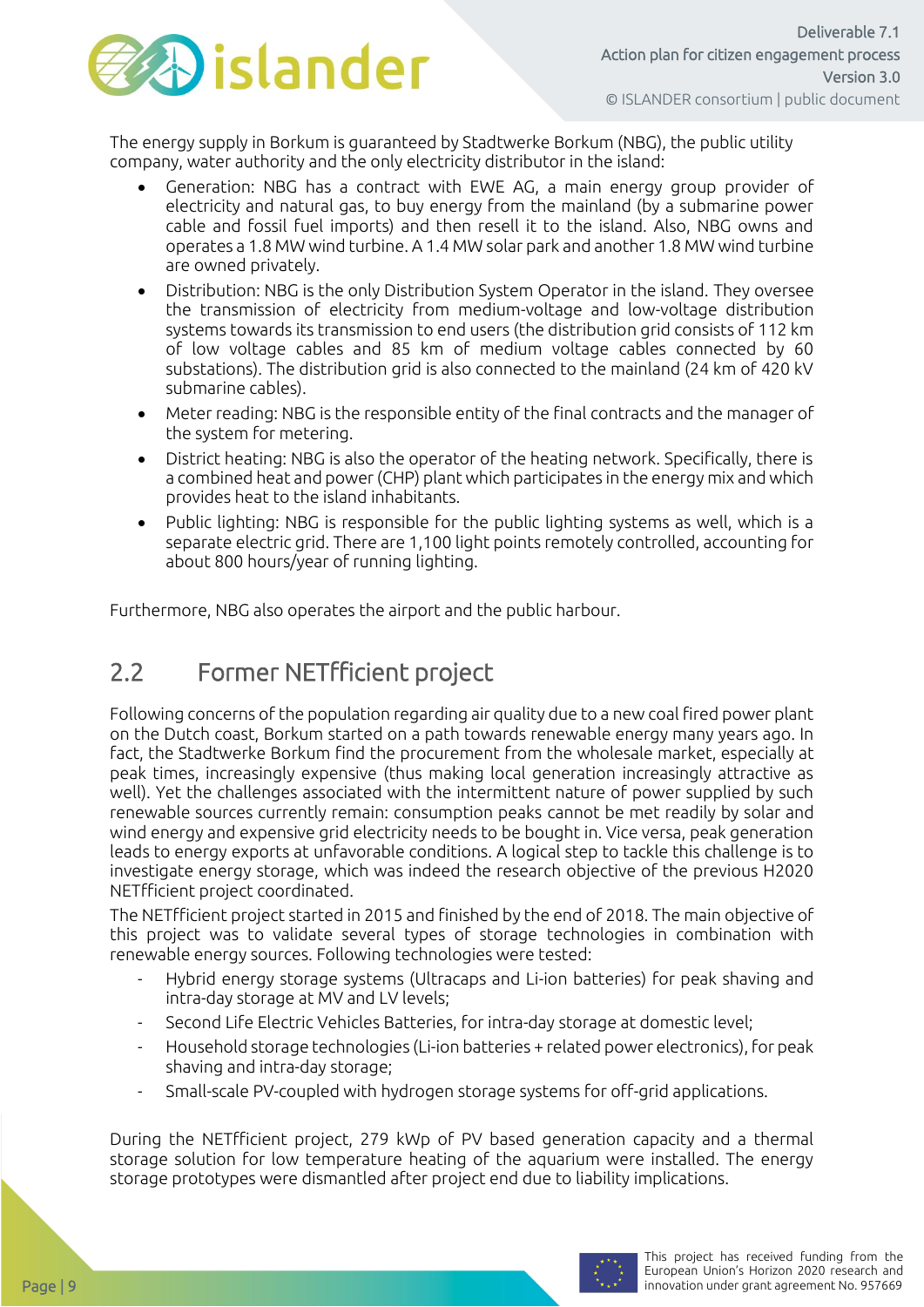

The energy supply in Borkum is guaranteed by Stadtwerke Borkum (NBG), the public utility company, water authority and the only electricity distributor in the island:

- Generation: NBG has a contract with EWE AG, a main energy group provider of electricity and natural gas, to buy energy from the mainland (by a submarine power cable and fossil fuel imports) and then resell it to the island. Also, NBG owns and operates a 1.8 MW wind turbine. A 1.4 MW solar park and another 1.8 MW wind turbine are owned privately.
- Distribution: NBG is the only Distribution System Operator in the island. They oversee the transmission of electricity from medium-voltage and low-voltage distribution systems towards its transmission to end users (the distribution grid consists of 112 km of low voltage cables and 85 km of medium voltage cables connected by 60 substations). The distribution grid is also connected to the mainland (24 km of 420 kV submarine cables).
- Meter reading: NBG is the responsible entity of the final contracts and the manager of the system for metering.
- District heating: NBG is also the operator of the heating network. Specifically, there is a combined heat and power (CHP) plant which participates in the energy mix and which provides heat to the island inhabitants.
- Public lighting: NBG is responsible for the public lighting systems as well, which is a separate electric grid. There are 1,100 light points remotely controlled, accounting for about 800 hours/year of running lighting.

<span id="page-8-0"></span>Furthermore, NBG also operates the airport and the public harbour.

### 2.2 Former NETfficient project

Following concerns of the population regarding air quality due to a new coal fired power plant on the Dutch coast, Borkum started on a path towards renewable energy many years ago. In fact, the Stadtwerke Borkum find the procurement from the wholesale market, especially at peak times, increasingly expensive (thus making local generation increasingly attractive as well). Yet the challenges associated with the intermittent nature of power supplied by such renewable sources currently remain: consumption peaks cannot be met readily by solar and wind energy and expensive grid electricity needs to be bought in. Vice versa, peak generation leads to energy exports at unfavorable conditions. A logical step to tackle this challenge is to investigate energy storage, which was indeed the research objective of the previous H2020 NETfficient project coordinated.

The NETfficient project started in 2015 and finished by the end of 2018. The main objective of this project was to validate several types of storage technologies in combination with renewable energy sources. Following technologies were tested:

- Hybrid energy storage systems (Ultracaps and Li-ion batteries) for peak shaving and intra-day storage at MV and LV levels;
- Second Life Electric Vehicles Batteries, for intra-day storage at domestic level;
- Household storage technologies (Li-ion batteries + related power electronics), for peak shaving and intra-day storage;
- Small-scale PV-coupled with hydrogen storage systems for off-grid applications.

During the NETfficient project, 279 kWp of PV based generation capacity and a thermal storage solution for low temperature heating of the aquarium were installed. The energy storage prototypes were dismantled after project end due to liability implications.

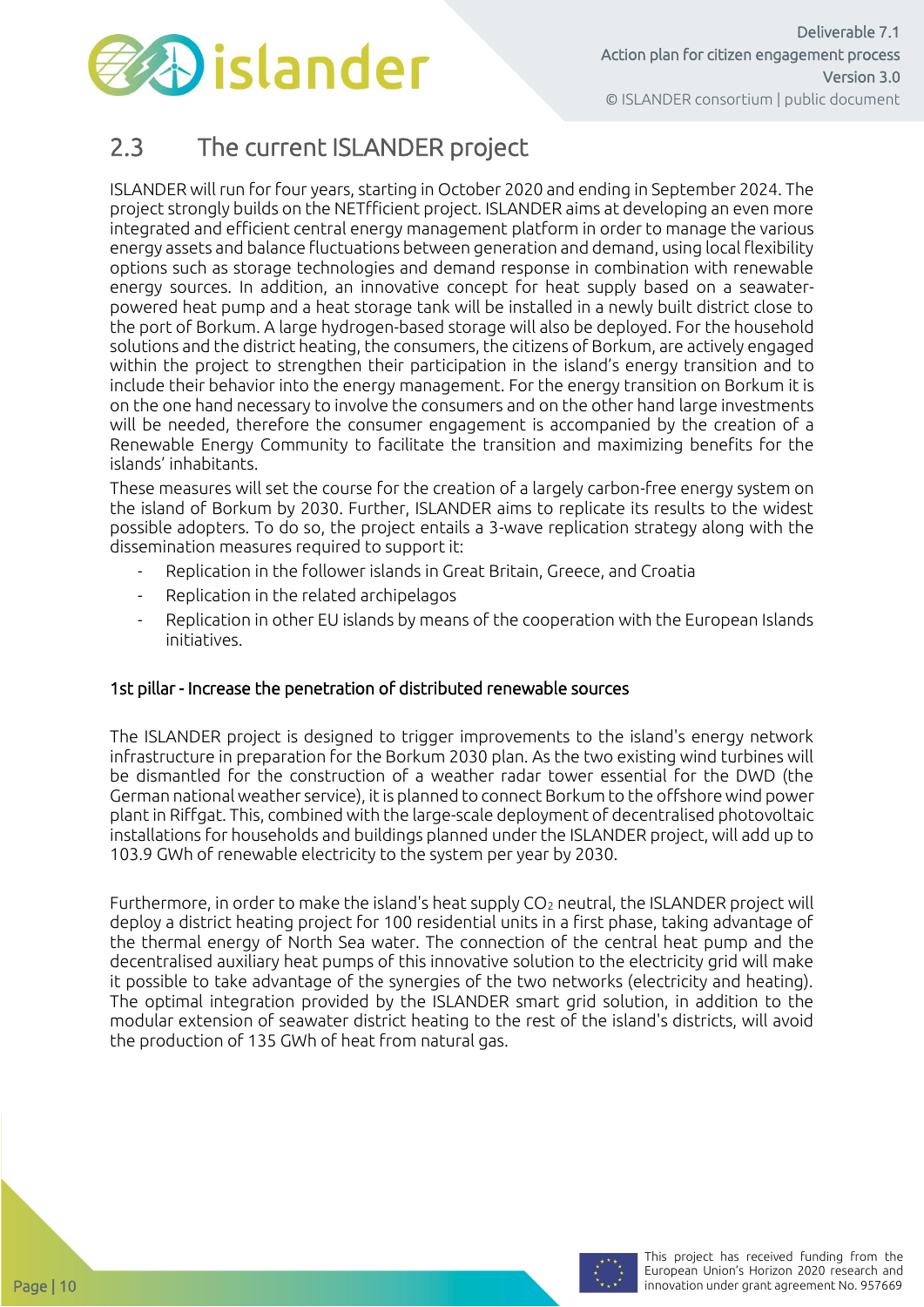

### <span id="page-9-0"></span>2.3 The current ISLANDER project

ISLANDER will run for four years, starting in October 2020 and ending in September 2024. The project strongly builds on the NETfficient project. ISLANDER aims at developing an even more integrated and efficient central energy management platform in order to manage the various energy assets and balance fluctuations between generation and demand, using local flexibility options such as storage technologies and demand response in combination with renewable energy sources. In addition, an innovative concept for heat supply based on a seawaterpowered heat pump and a heat storage tank will be installed in a newly built district close to the port of Borkum. A large hydrogen-based storage will also be deployed. For the household solutions and the district heating, the consumers, the citizens of Borkum, are actively engaged within the project to strengthen their participation in the island's energy transition and to include their behavior into the energy management. For the energy transition on Borkum it is on the one hand necessary to involve the consumers and on the other hand large investments will be needed, therefore the consumer engagement is accompanied by the creation of a Renewable Energy Community to facilitate the transition and maximizing benefits for the islands' inhabitants.

These measures will set the course for the creation of a largely carbon-free energy system on the island of Borkum by 2030. Further, ISLANDER aims to replicate its results to the widest possible adopters. To do so, the project entails a 3-wave replication strategy along with the dissemination measures required to support it:

- Replication in the follower islands in Great Britain, Greece, and Croatia
- Replication in the related archipelagos
- Replication in other EU islands by means of the cooperation with the European Islands initiatives.

#### 1st pillar - Increase the penetration of distributed renewable sources

The ISLANDER project is designed to trigger improvements to the island's energy network infrastructure in preparation for the Borkum 2030 plan. As the two existing wind turbines will be dismantled for the construction of a weather radar tower essential for the DWD (the German national weather service), it is planned to connect Borkum to the offshore wind power plant in Riffgat. This, combined with the large-scale deployment of decentralised photovoltaic installations for households and buildings planned under the ISLANDER project, will add up to 103.9 GWh of renewable electricity to the system per year by 2030.

Furthermore, in order to make the island's heat supply CO<sub>2</sub> neutral, the ISLANDER project will deploy a district heating project for 100 residential units in a first phase, taking advantage of the thermal energy of North Sea water. The connection of the central heat pump and the decentralised auxiliary heat pumps of this innovative solution to the electricity grid will make it possible to take advantage of the synergies of the two networks (electricity and heating). The optimal integration provided by the ISLANDER smart grid solution, in addition to the modular extension of seawater district heating to the rest of the island's districts, will avoid the production of 135 GWh of heat from natural gas.

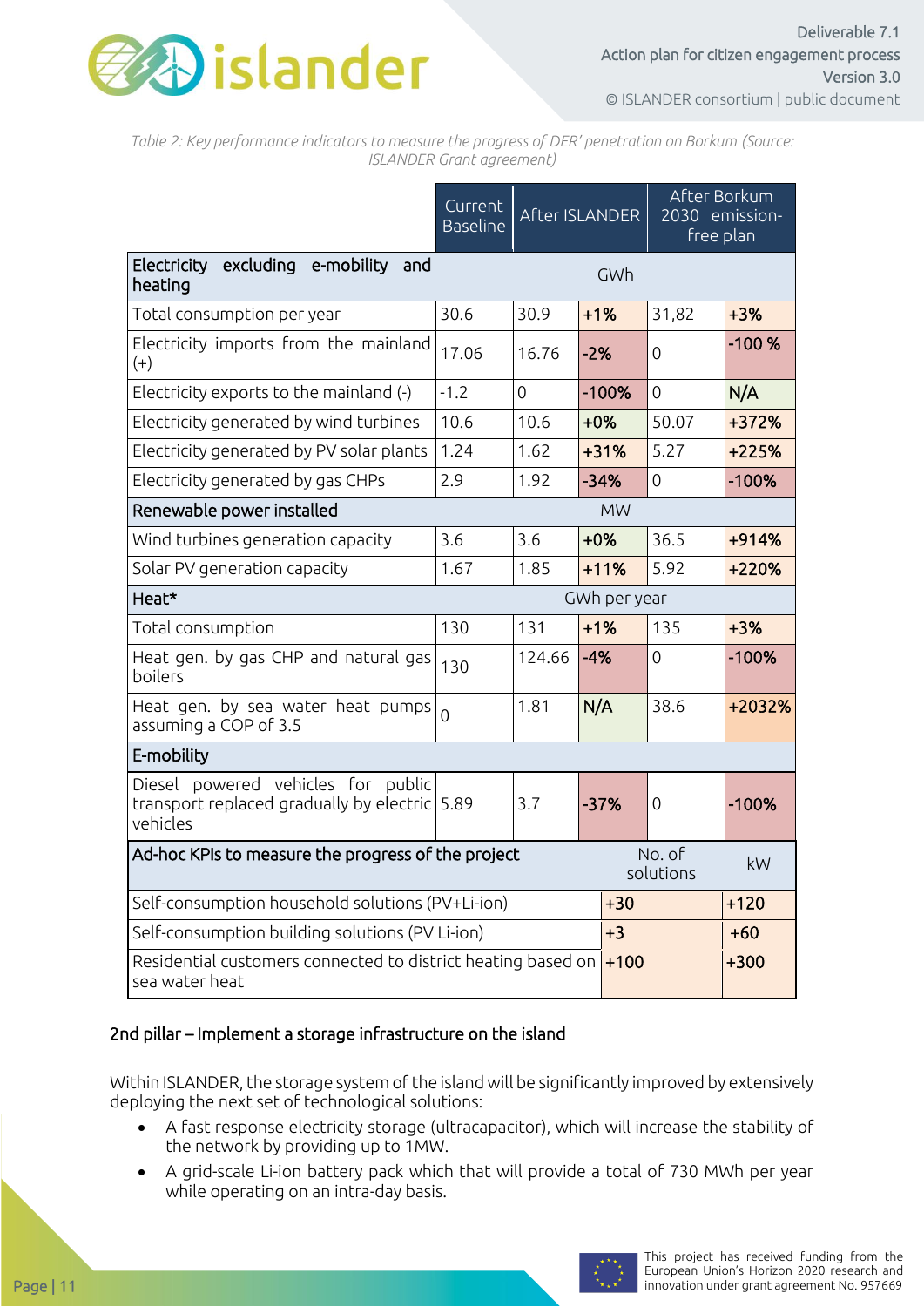

*Table 2: Key performance indicators to measure the progress of DER' penetration on Borkum (Source: ISLANDER Grant agreement)*

|                                                                                                 | Current<br><b>Baseline</b> | After ISLANDER |              | After Borkum<br>2030 emission-<br>free plan |          |
|-------------------------------------------------------------------------------------------------|----------------------------|----------------|--------------|---------------------------------------------|----------|
| excluding e-mobility and<br>Electricity<br>heating                                              |                            |                | GWh          |                                             |          |
| Total consumption per year                                                                      | 30.6                       | 30.9           | $+1%$        | 31,82                                       | $+3%$    |
| Electricity imports from the mainland<br>$(+)$                                                  | 17.06                      | 16.76          | $-2%$        | 0                                           | $-100%$  |
| Electricity exports to the mainland (-)                                                         | $-1.2$                     | 0              | $-100%$      | 0                                           | N/A      |
| Electricity generated by wind turbines                                                          | 10.6                       | 10.6           | $+0%$        | 50.07                                       | +372%    |
| Electricity generated by PV solar plants                                                        | 1.24                       | 1.62           | $+31%$       | 5.27                                        | $+225%$  |
| Electricity generated by gas CHPs                                                               | 2.9                        | 1.92           | $-34%$       | $\overline{0}$                              | $-100%$  |
| Renewable power installed                                                                       |                            |                | <b>MW</b>    |                                             |          |
| Wind turbines generation capacity                                                               | 3.6                        | 3.6            | $+0\%$       | 36.5                                        | +914%    |
| Solar PV generation capacity                                                                    | 1.67                       | 1.85           | $+11%$       | 5.92                                        | +220%    |
| Heat*                                                                                           |                            |                | GWh per year |                                             |          |
| Total consumption                                                                               | 130                        | 131            | $+1%$        | 135                                         | $+3%$    |
| Heat gen. by gas CHP and natural gas<br>boilers                                                 | 130                        | 124.66         | $-4%$        | $\overline{0}$                              | $-100%$  |
| Heat gen. by sea water heat pumps<br>assuming a COP of 3.5                                      | $\Omega$                   | 1.81           | N/A          | 38.6                                        | $+2032%$ |
| E-mobility                                                                                      |                            |                |              |                                             |          |
| Diesel powered vehicles for public<br>transport replaced gradually by electric 5.89<br>vehicles |                            | 3.7            | $-37%$       | 0                                           | $-100%$  |
| No. of<br>Ad-hoc KPIs to measure the progress of the project<br>solutions                       |                            |                |              | kW                                          |          |
| Self-consumption household solutions (PV+Li-ion)                                                |                            |                |              | $+120$<br>$+30$                             |          |
| Self-consumption building solutions (PV Li-ion)                                                 | $+3$                       |                | $+60$        |                                             |          |
| Residential customers connected to district heating based on<br>sea water heat                  | $+100$                     |                | $+300$       |                                             |          |

#### 2nd pillar – Implement a storage infrastructure on the island

Within ISLANDER, the storage system of the island will be significantly improved by extensively deploying the next set of technological solutions:

- A fast response electricity storage (ultracapacitor), which will increase the stability of the network by providing up to 1MW.
- A grid-scale Li-ion battery pack which that will provide a total of 730 MWh per year while operating on an intra-day basis.

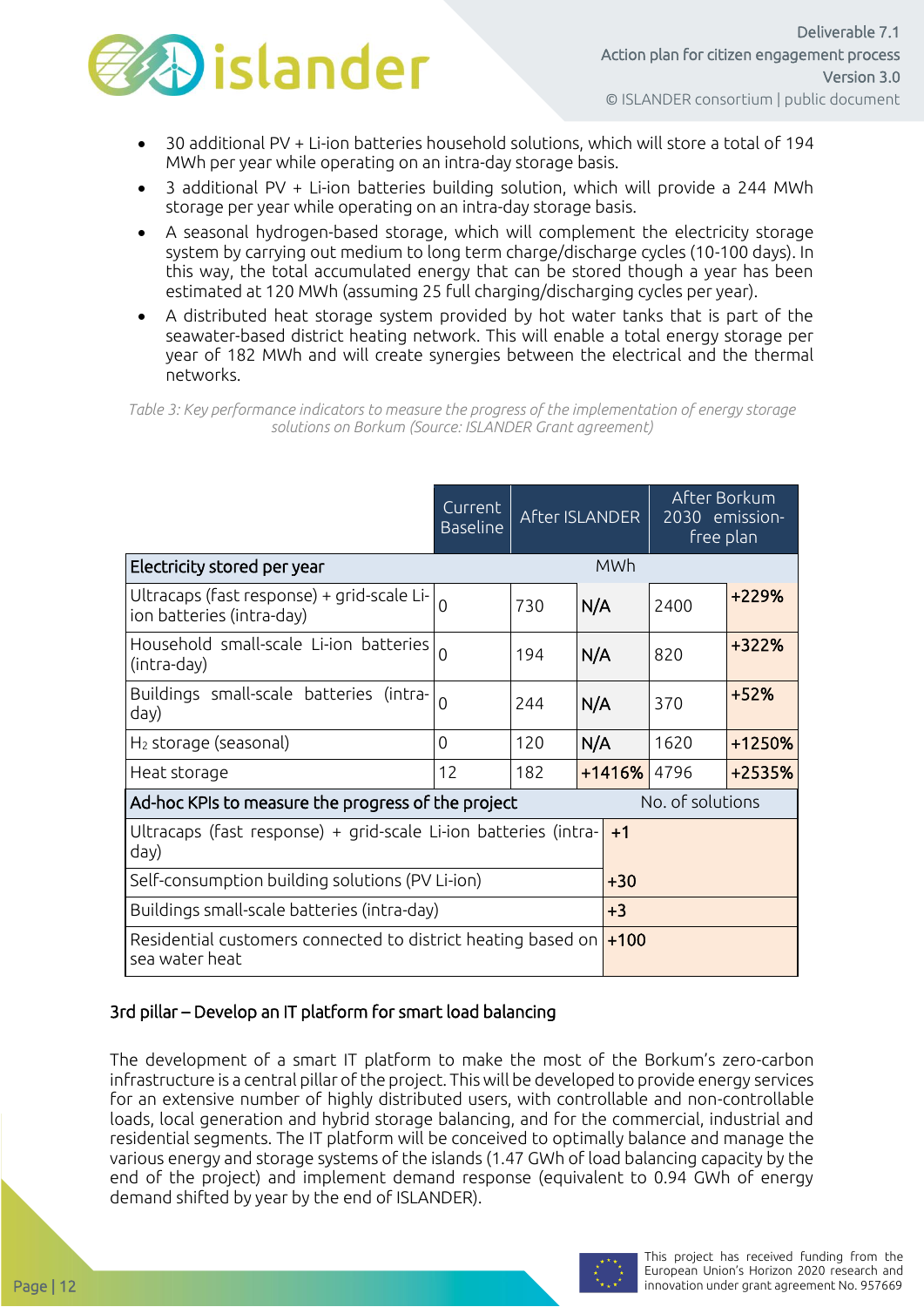

- 30 additional PV + Li-ion batteries household solutions, which will store a total of 194 MWh per year while operating on an intra-day storage basis.
- 3 additional PV + Li-ion batteries building solution, which will provide a 244 MWh storage per year while operating on an intra-day storage basis.
- A seasonal hydrogen-based storage, which will complement the electricity storage system by carrying out medium to long term charge/discharge cycles (10-100 days). In this way, the total accumulated energy that can be stored though a year has been estimated at 120 MWh (assuming 25 full charging/discharging cycles per year).
- A distributed heat storage system provided by hot water tanks that is part of the seawater-based district heating network. This will enable a total energy storage per year of 182 MWh and will create synergies between the electrical and the thermal networks.

*Table 3: Key performance indicators to measure the progress of the implementation of energy storage solutions on Borkum (Source: ISLANDER Grant agreement)*

|                                                                                 | Current<br><b>Baseline</b> |                  | <b>After ISLANDER</b> | After Borkum<br>2030 emission-<br>free plan |        |
|---------------------------------------------------------------------------------|----------------------------|------------------|-----------------------|---------------------------------------------|--------|
| Electricity stored per year                                                     |                            |                  | <b>MWh</b>            |                                             |        |
| Ultracaps (fast response) + grid-scale Li-<br>ion batteries (intra-day)         | $\overline{0}$             | 730              | N/A                   | 2400                                        | +229%  |
| Household small-scale Li-ion batteries<br>(intra-day)                           | $\Omega$                   | 194              | N/A                   | 820                                         | +322%  |
| Buildings small-scale batteries (intra-<br>day)                                 | $\overline{0}$             | 244              | N/A                   | 370                                         | $+52%$ |
| $H2$ storage (seasonal)                                                         | 0                          | 120              | N/A                   | 1620                                        | +1250% |
| Heat storage                                                                    | 12                         | 182              | $+1416%$              | 4796                                        | +2535% |
| Ad-hoc KPIs to measure the progress of the project                              |                            | No. of solutions |                       |                                             |        |
| Ultracaps (fast response) + grid-scale Li-ion batteries (intra-<br>$+1$<br>day) |                            |                  |                       |                                             |        |
| Self-consumption building solutions (PV Li-ion)                                 | $+30$                      |                  |                       |                                             |        |
| Buildings small-scale batteries (intra-day)                                     | $+3$                       |                  |                       |                                             |        |
| Residential customers connected to district heating based on<br>sea water heat  | $+100$                     |                  |                       |                                             |        |

#### 3rd pillar – Develop an IT platform for smart load balancing

The development of a smart IT platform to make the most of the Borkum's zero-carbon infrastructure is a central pillar of the project. This will be developed to provide energy services for an extensive number of highly distributed users, with controllable and non-controllable loads, local generation and hybrid storage balancing, and for the commercial, industrial and residential segments. The IT platform will be conceived to optimally balance and manage the various energy and storage systems of the islands (1.47 GWh of load balancing capacity by the end of the project) and implement demand response (equivalent to 0.94 GWh of energy demand shifted by year by the end of ISLANDER).

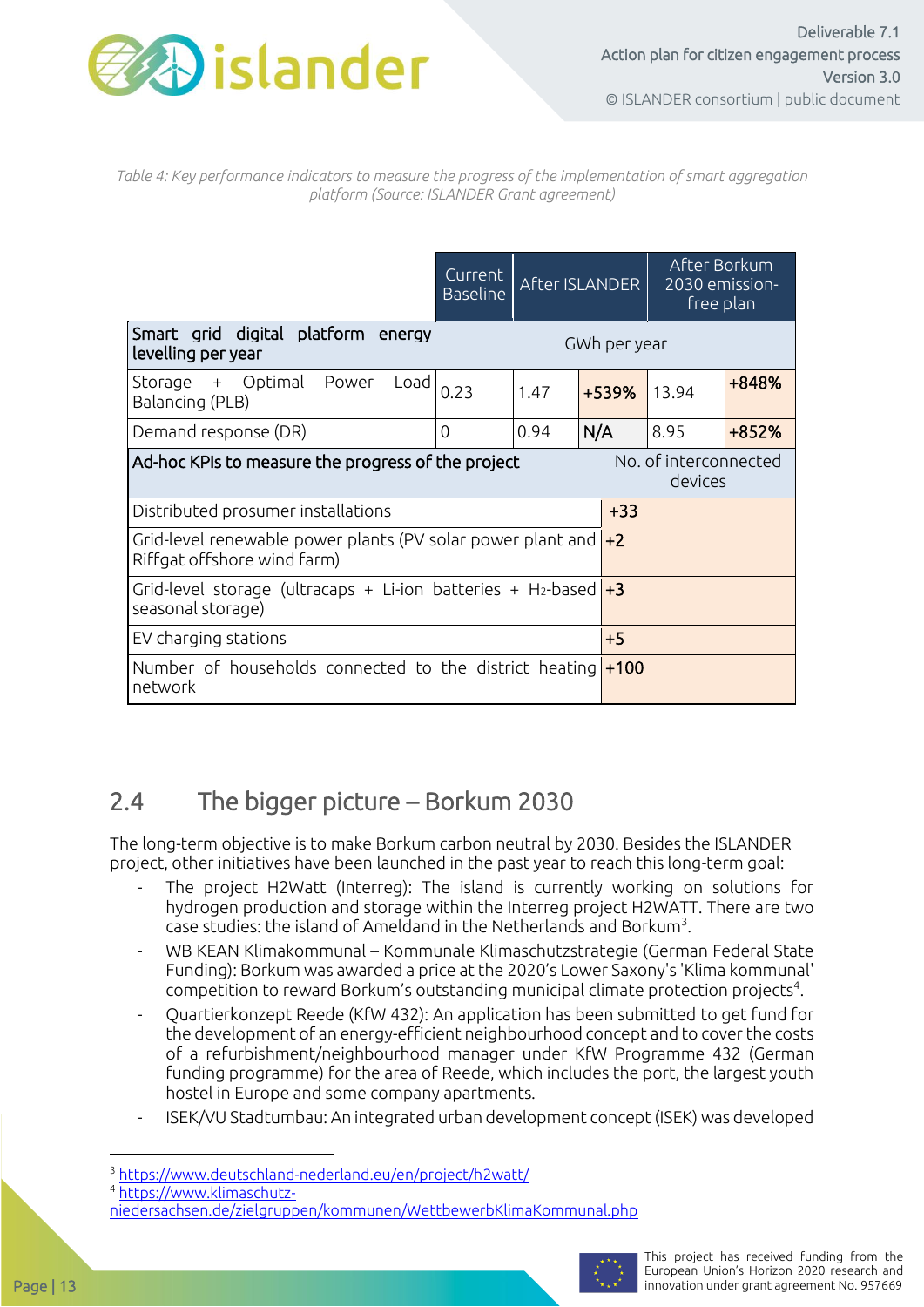

*Table 4: Key performance indicators to measure the progress of the implementation of smart aggregation platform (Source: ISLANDER Grant agreement)*

|                                                                                                    | Current<br><b>Baseline</b> |      | After ISLANDER | After Borkum<br>2030 emission-<br>free plan |       |
|----------------------------------------------------------------------------------------------------|----------------------------|------|----------------|---------------------------------------------|-------|
| Smart grid digital platform energy<br>levelling per year                                           |                            |      | GWh per year   |                                             |       |
| Storage + Optimal Power<br>Load<br>Balancing (PLB)                                                 | 0.23                       | 1.47 | +539%          | 13.94                                       | +848% |
| Demand response (DR)                                                                               | $\overline{0}$             | 0.94 | N/A            | 8.95                                        | +852% |
| Ad-hoc KPIs to measure the progress of the project                                                 |                            |      |                | No. of interconnected<br>devices            |       |
| Distributed prosumer installations                                                                 | $+33$                      |      |                |                                             |       |
| Grid-level renewable power plants (PV solar power plant and $+2$<br>Riffgat offshore wind farm)    |                            |      |                |                                             |       |
| Grid-level storage (ultracaps + Li-ion batteries + H <sub>2</sub> -based $+3$<br>seasonal storage) |                            |      |                |                                             |       |
| EV charging stations                                                                               | $+5$                       |      |                |                                             |       |
| Number of households connected to the district heating $+100$<br>network                           |                            |      |                |                                             |       |

### <span id="page-12-0"></span>2.4 The bigger picture – Borkum 2030

The long-term objective is to make Borkum carbon neutral by 2030. Besides the ISLANDER project, other initiatives have been launched in the past year to reach this long-term goal:

- The project H2Watt (Interreg): The island is currently working on solutions for hydrogen production and storage within the Interreg project H2WATT. There are two case studies: the island of Ameldand in the Netherlands and Borkum<sup>3</sup>.
- WB KEAN Klimakommunal Kommunale Klimaschutzstrategie (German Federal State Funding): Borkum was awarded a price at the 2020's Lower Saxony's 'Klima kommunal'  $\epsilon$  competition to reward Borkum's outstanding municipal climate protection projects $^4$ .
- Quartierkonzept Reede (KfW 432): An application has been submitted to get fund for the development of an energy-efficient neighbourhood concept and to cover the costs of a refurbishment/neighbourhood manager under KfW Programme 432 (German funding programme) for the area of Reede, which includes the port, the largest youth hostel in Europe and some company apartments.
- ISEK/VU Stadtumbau: An integrated urban development concept (ISEK) was developed

[niedersachsen.de/zielgruppen/kommunen/WettbewerbKlimaKommunal.php](https://www.klimaschutz-niedersachsen.de/zielgruppen/kommunen/WettbewerbKlimaKommunal.php)



<sup>3</sup> <https://www.deutschland-nederland.eu/en/project/h2watt/>

<sup>4</sup> [https://www.klimaschutz-](https://www.klimaschutz-niedersachsen.de/zielgruppen/kommunen/WettbewerbKlimaKommunal.php)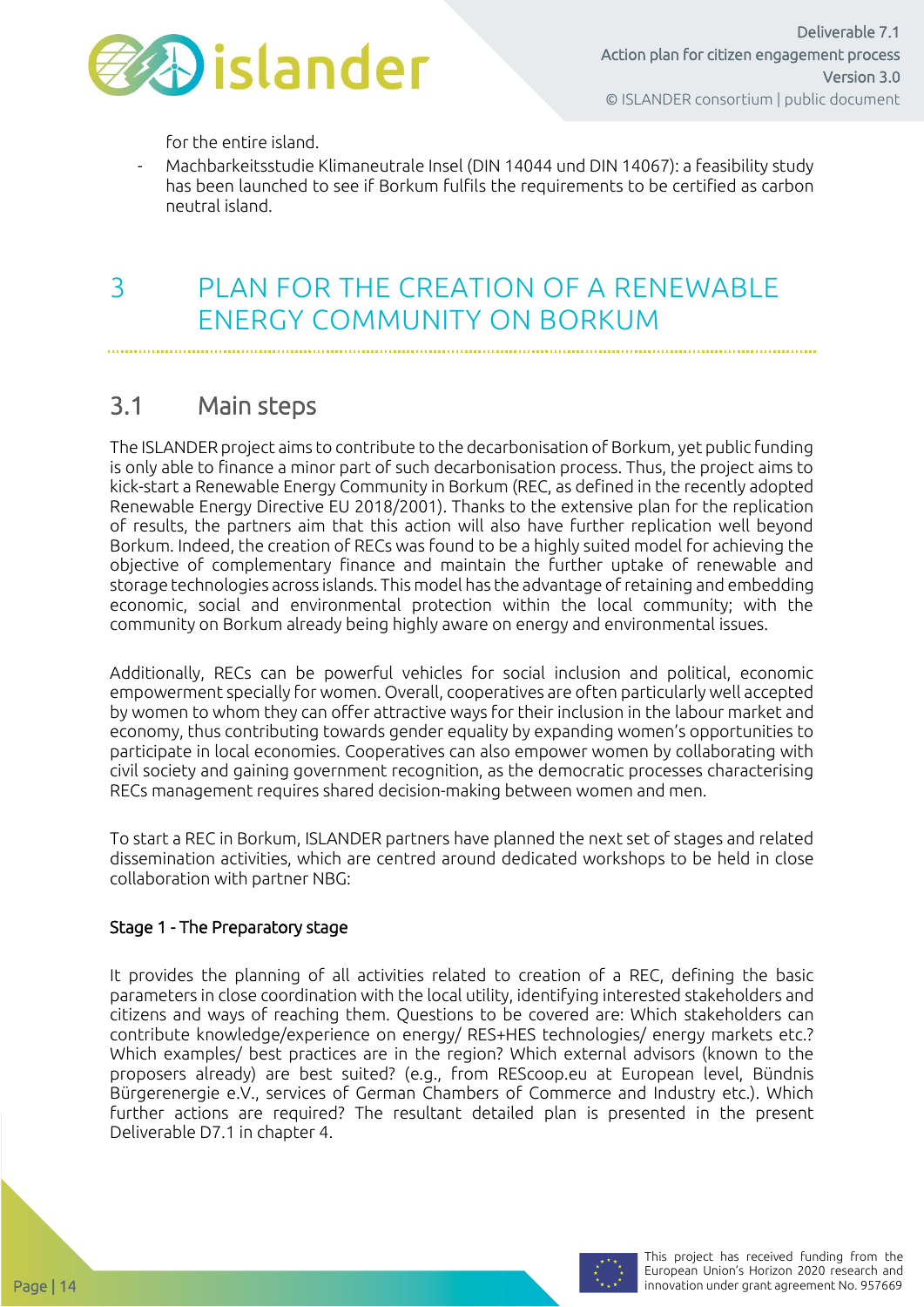

Deliverable 7.1 Action plan for citizen engagement process Version 3.0 © ISLANDER consortium | public document

for the entire island.

- Machbarkeitsstudie Klimaneutrale Insel (DIN 14044 und DIN 14067): a feasibility study has been launched to see if Borkum fulfils the requirements to be certified as carbon neutral island.

### <span id="page-13-0"></span>3 PLAN FOR THE CREATION OF A RENEWABLE ENERGY COMMUNITY ON BORKUM

### <span id="page-13-1"></span>3.1 Main steps

The ISLANDER project aims to contribute to the decarbonisation of Borkum, yet public funding is only able to finance a minor part of such decarbonisation process. Thus, the project aims to kick-start a Renewable Energy Community in Borkum (REC, as defined in the recently adopted Renewable Energy Directive EU 2018/2001). Thanks to the extensive plan for the replication of results, the partners aim that this action will also have further replication well beyond Borkum. Indeed, the creation of RECs was found to be a highly suited model for achieving the objective of complementary finance and maintain the further uptake of renewable and storage technologies across islands. This model has the advantage of retaining and embedding economic, social and environmental protection within the local community; with the community on Borkum already being highly aware on energy and environmental issues.

Additionally, RECs can be powerful vehicles for social inclusion and political, economic empowerment specially for women. Overall, cooperatives are often particularly well accepted by women to whom they can offer attractive ways for their inclusion in the labour market and economy, thus contributing towards gender equality by expanding women's opportunities to participate in local economies. Cooperatives can also empower women by collaborating with civil society and gaining government recognition, as the democratic processes characterising RECs management requires shared decision-making between women and men.

To start a REC in Borkum, ISLANDER partners have planned the next set of stages and related dissemination activities, which are centred around dedicated workshops to be held in close collaboration with partner NBG:

#### Stage 1 - The Preparatory stage

It provides the planning of all activities related to creation of a REC, defining the basic parameters in close coordination with the local utility, identifying interested stakeholders and citizens and ways of reaching them. Questions to be covered are: Which stakeholders can contribute knowledge/experience on energy/ RES+HES technologies/ energy markets etc.? Which examples/ best practices are in the region? Which external advisors (known to the proposers already) are best suited? (e.g., from REScoop.eu at European level, Bündnis Bürgerenergie e.V., services of German Chambers of Commerce and Industry etc.). Which further actions are required? The resultant detailed plan is presented in the present Deliverable D7.1 in chapter 4.

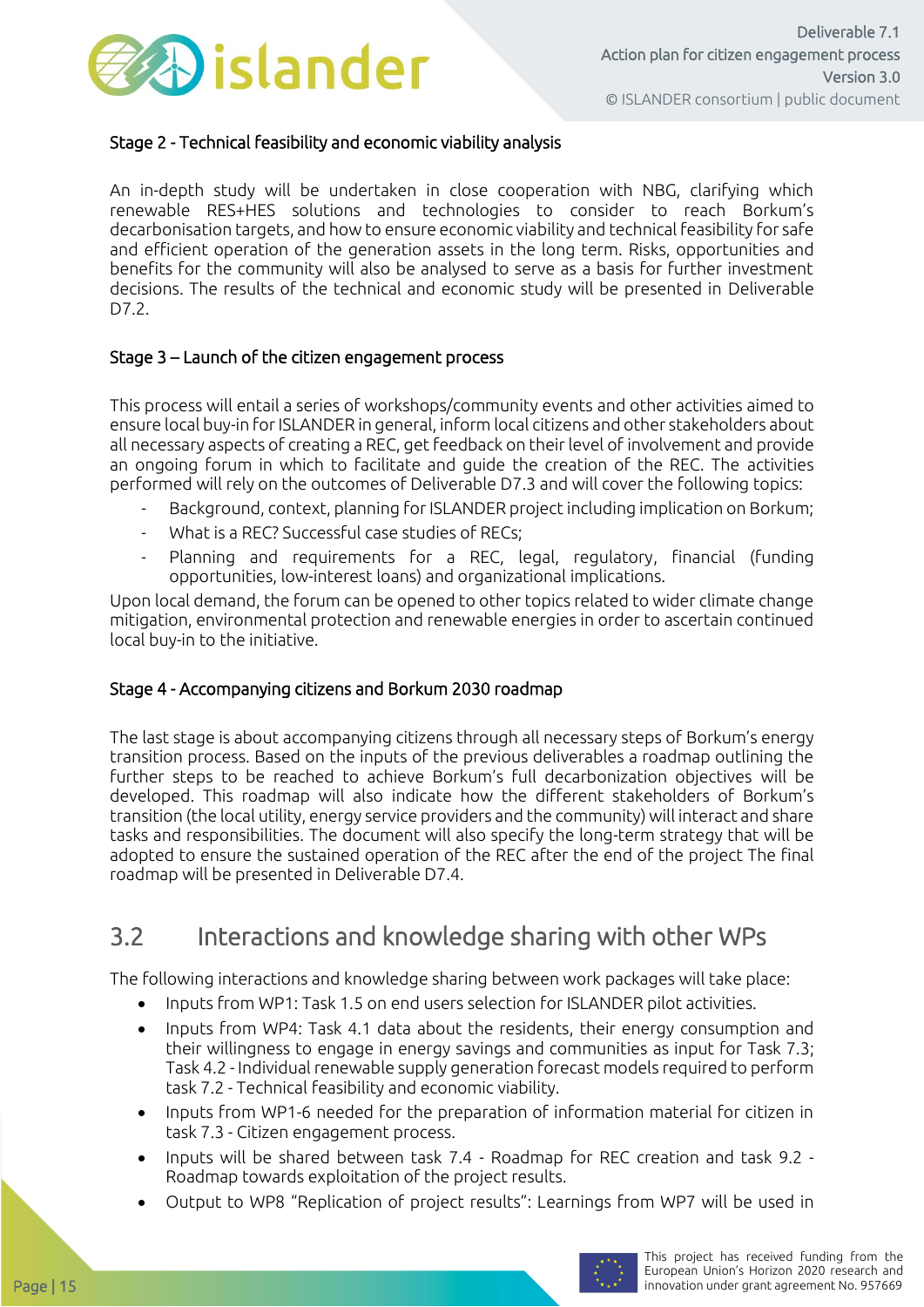

#### Stage 2 - Technical feasibility and economic viability analysis

An in-depth study will be undertaken in close cooperation with NBG, clarifying which renewable RES+HES solutions and technologies to consider to reach Borkum's decarbonisation targets, and how to ensure economic viability and technical feasibility for safe and efficient operation of the generation assets in the long term. Risks, opportunities and benefits for the community will also be analysed to serve as a basis for further investment decisions. The results of the technical and economic study will be presented in Deliverable D7.2.

#### Stage 3 – Launch of the citizen engagement process

This process will entail a series of workshops/community events and other activities aimed to ensure local buy-in for ISLANDER in general, inform local citizens and other stakeholders about all necessary aspects of creating a REC, get feedback on their level of involvement and provide an ongoing forum in which to facilitate and guide the creation of the REC. The activities performed will rely on the outcomes of Deliverable D7.3 and will cover the following topics:

- Background, context, planning for ISLANDER project including implication on Borkum;
- What is a REC? Successful case studies of RECs;
- Planning and requirements for a REC, legal, regulatory, financial (funding opportunities, low-interest loans) and organizational implications.

Upon local demand, the forum can be opened to other topics related to wider climate change mitigation, environmental protection and renewable energies in order to ascertain continued local buy-in to the initiative.

#### Stage 4 - Accompanying citizens and Borkum 2030 roadmap

The last stage is about accompanying citizens through all necessary steps of Borkum's energy transition process. Based on the inputs of the previous deliverables a roadmap outlining the further steps to be reached to achieve Borkum's full decarbonization objectives will be developed. This roadmap will also indicate how the different stakeholders of Borkum's transition (the local utility, energy service providers and the community) will interact and share tasks and responsibilities. The document will also specify the long-term strategy that will be adopted to ensure the sustained operation of the REC after the end of the project The final roadmap will be presented in Deliverable D7.4.

### <span id="page-14-0"></span>3.2 Interactions and knowledge sharing with other WPs

The following interactions and knowledge sharing between work packages will take place:

- Inputs from WP1: Task 1.5 on end users selection for ISLANDER pilot activities.
- Inputs from WP4: Task 4.1 data about the residents, their energy consumption and their willingness to engage in energy savings and communities as input for Task 7.3; Task 4.2 - Individual renewable supply generation forecast models required to perform task 7.2 - Technical feasibility and economic viability.
- Inputs from WP1-6 needed for the preparation of information material for citizen in task 7.3 - Citizen engagement process.
- Inputs will be shared between task 7.4 Roadmap for REC creation and task 9.2 Roadmap towards exploitation of the project results.
- Output to WP8 "Replication of project results": Learnings from WP7 will be used in

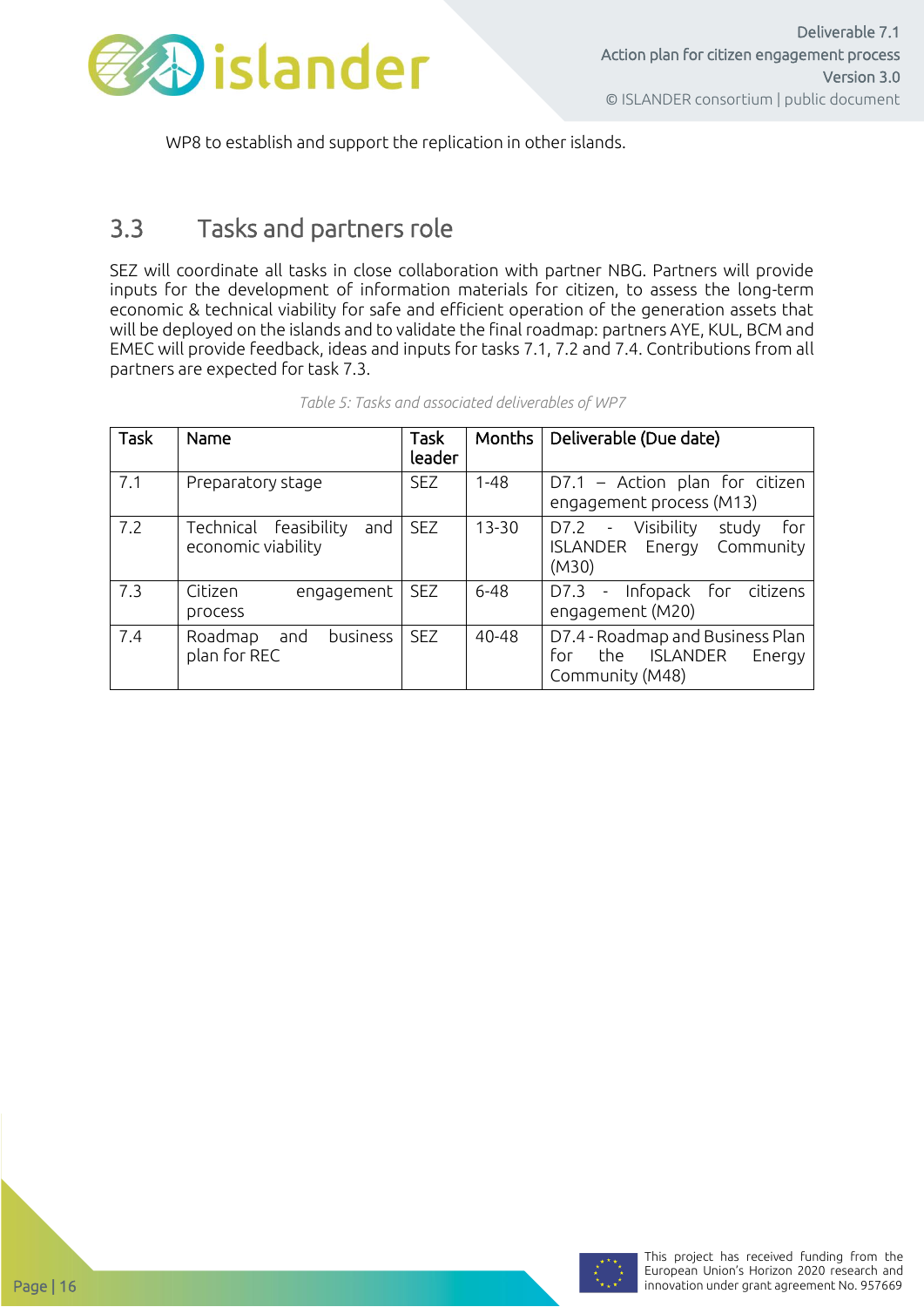

WP8 to establish and support the replication in other islands.

### <span id="page-15-0"></span>3.3 Tasks and partners role

SEZ will coordinate all tasks in close collaboration with partner NBG. Partners will provide inputs for the development of information materials for citizen, to assess the long-term economic & technical viability for safe and efficient operation of the generation assets that will be deployed on the islands and to validate the final roadmap: partners AYE, KUL, BCM and EMEC will provide feedback, ideas and inputs for tasks 7.1, 7.2 and 7.4. Contributions from all partners are expected for task 7.3.

| Task | Name                                               | Task<br>leader | Months    | Deliverable (Due date)                                                                                            |
|------|----------------------------------------------------|----------------|-----------|-------------------------------------------------------------------------------------------------------------------|
| 7.1  | Preparatory stage                                  | <b>SEZ</b>     | $1 - 48$  | $D7.1$ – Action plan for citizen<br>engagement process (M13)                                                      |
| 7.2  | Technical feasibility<br>and<br>economic viability | <b>SEZ</b>     | $13 - 30$ | Visibility<br>D7.2<br>study<br>for<br>$\overline{\phantom{a}}$<br><b>ISLANDER</b><br>Energy<br>Community<br>(M30) |
| 7.3  | Citizen<br>engagement<br><b>PLOCESS</b>            | <b>SEZ</b>     | $6 - 48$  | Infopack for citizens<br>$D7.3 -$<br>engagement (M20)                                                             |
| 7.4  | business<br>and<br>Roadmap<br>plan for REC         | <b>SEZ</b>     | 40-48     | D7.4 - Roadmap and Business Plan<br>for<br>the<br><b>ISLANDER</b><br>Energy<br>Community (M48)                    |

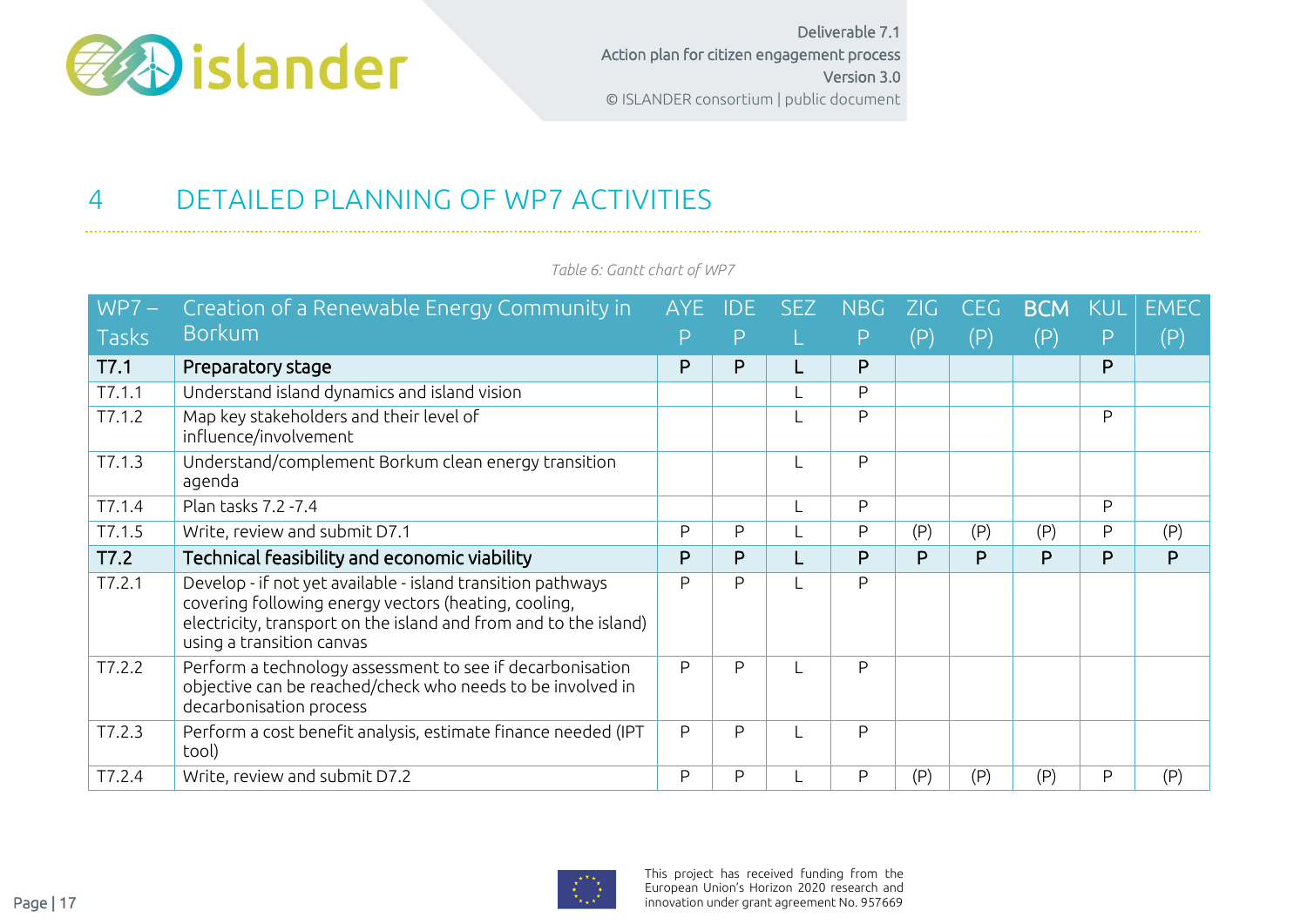

# 4 DETAILED PLANNING OF WP7 ACTIVITIES

<span id="page-16-0"></span>

| $WPT -$      | Creation of a Renewable Energy Community in                                                                                                                                                                          | AYE. |   | SEZ | <b>NBG</b> | <b>ZG</b> | CEG.           | <b>BCM</b> |   | <b>EMEC</b> |
|--------------|----------------------------------------------------------------------------------------------------------------------------------------------------------------------------------------------------------------------|------|---|-----|------------|-----------|----------------|------------|---|-------------|
| <b>Tasks</b> | <b>Borkum</b>                                                                                                                                                                                                        |      | P |     | Ρ          | (P)       | $(\mathsf{P})$ | (P)        | Ρ | (P)         |
| T7.1         | Preparatory stage                                                                                                                                                                                                    | P    | P |     | P          |           |                |            | P |             |
| T7.1.1       | Understand island dynamics and island vision                                                                                                                                                                         |      |   |     | P          |           |                |            |   |             |
| T7.1.2       | Map key stakeholders and their level of<br>influence/involvement                                                                                                                                                     |      |   |     | P          |           |                |            | P |             |
| T7.1.3       | Understand/complement Borkum clean energy transition<br>agenda                                                                                                                                                       |      |   |     | P          |           |                |            |   |             |
| T7.1.4       | Plan tasks 7.2 - 7.4                                                                                                                                                                                                 |      |   |     | P          |           |                |            | P |             |
| T7.1.5       | Write, review and submit D7.1                                                                                                                                                                                        | P    | P |     | P          | (P)       | (P)            | (P)        | P | (P)         |
| T7.2         | Technical feasibility and economic viability                                                                                                                                                                         | P    | P |     | P          | P         | P              | P          | P | P           |
| T7.2.1       | Develop - if not yet available - island transition pathways<br>covering following energy vectors (heating, cooling,<br>electricity, transport on the island and from and to the island)<br>using a transition canvas | P    | P |     | P          |           |                |            |   |             |
| T7.2.2       | Perform a technology assessment to see if decarbonisation<br>objective can be reached/check who needs to be involved in<br>decarbonisation process                                                                   | P    | P |     | P          |           |                |            |   |             |
| T7.2.3       | Perform a cost benefit analysis, estimate finance needed (IPT<br>tool)                                                                                                                                               | P    | P |     | P          |           |                |            |   |             |
| T7.2.4       | Write, review and submit D7.2                                                                                                                                                                                        | P    | P |     | P          | (P)       | (P)            | (P)        | P | (P)         |

*Table 6: Gantt chart of WP7*

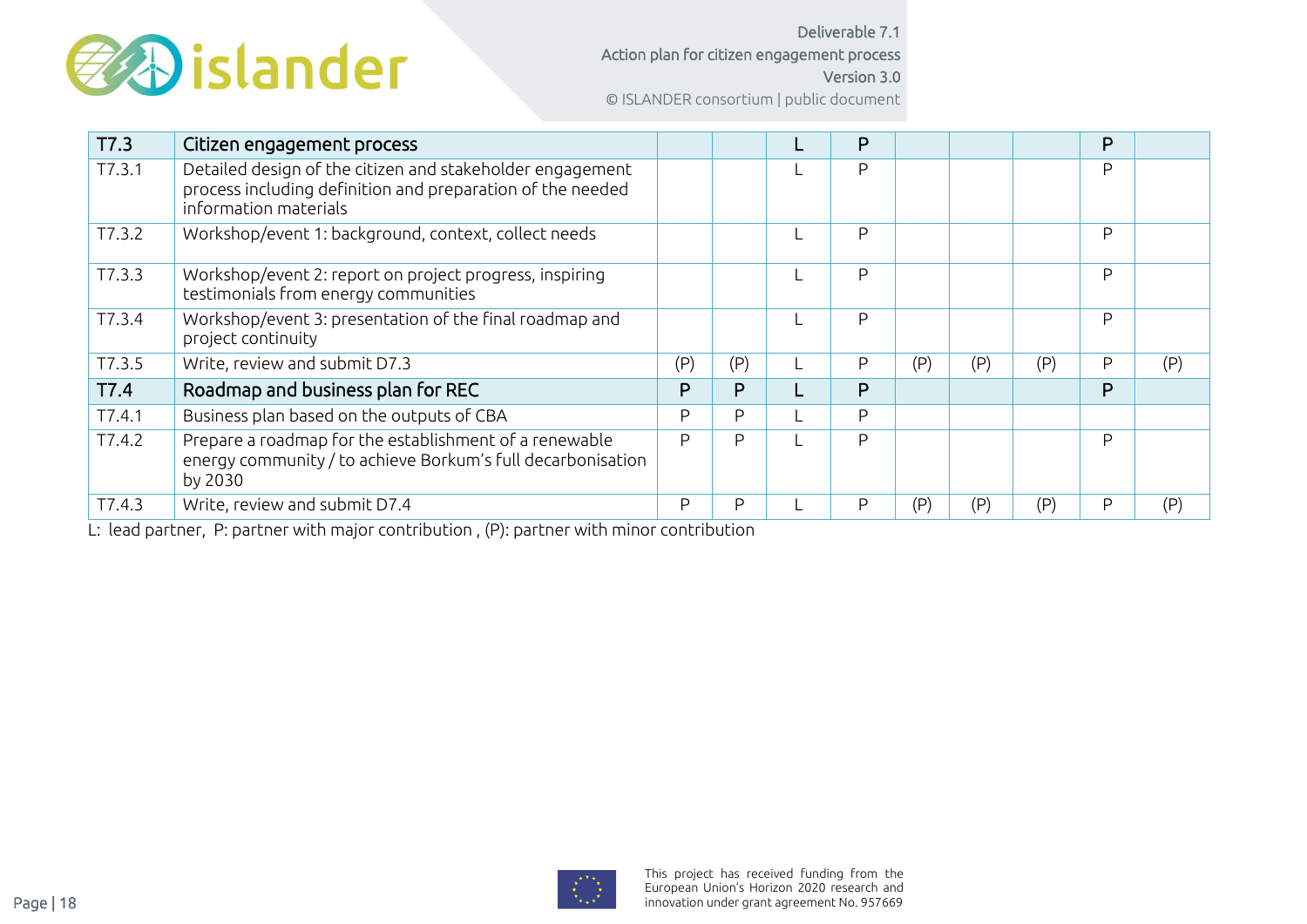

Deliverable 7.1 Action plan for citizen engagement process Version 3.0 © ISLANDER consortium | public document

| T7.3   | Citizen engagement process                                                                                                                       |     |     | P |     |     |     | P |     |
|--------|--------------------------------------------------------------------------------------------------------------------------------------------------|-----|-----|---|-----|-----|-----|---|-----|
| T7.3.1 | Detailed design of the citizen and stakeholder engagement<br>process including definition and preparation of the needed<br>information materials |     |     | P |     |     |     | P |     |
| T7.3.2 | Workshop/event 1: background, context, collect needs                                                                                             |     |     | P |     |     |     | P |     |
| T7.3.3 | Workshop/event 2: report on project progress, inspiring<br>testimonials from energy communities                                                  |     |     | P |     |     |     | P |     |
| T7.3.4 | Workshop/event 3: presentation of the final roadmap and<br>project continuity                                                                    |     |     | P |     |     |     | P |     |
| T7.3.5 | Write, review and submit D7.3                                                                                                                    | (P) | (P) | P | (P) | (P) | (P) | P | (P) |
| T7.4   | Roadmap and business plan for REC                                                                                                                | P   | P   | P |     |     |     | P |     |
| T7.4.1 | Business plan based on the outputs of CBA                                                                                                        | P   | P   | P |     |     |     |   |     |
| T7.4.2 | Prepare a roadmap for the establishment of a renewable<br>energy community / to achieve Borkum's full decarbonisation<br>by 2030                 | P   | P   | P |     |     |     | P |     |
| T7.4.3 | Write, review and submit D7.4                                                                                                                    | P   | P   | P | (P) | (P) | (P) | P | (P) |

L: lead partner, P: partner with major contribution , (P): partner with minor contribution

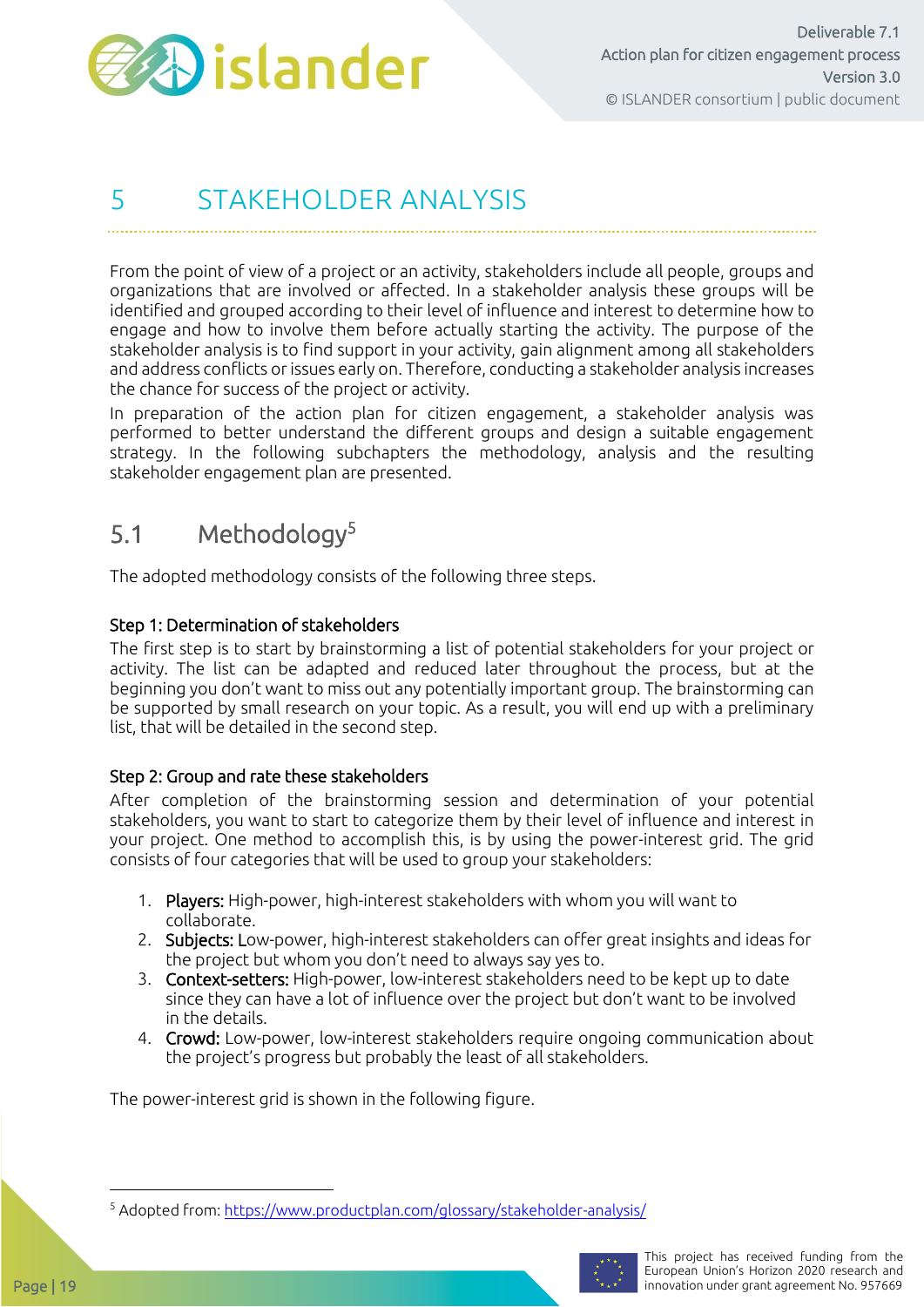

### <span id="page-18-0"></span>5 STAKEHOLDER ANALYSIS

From the point of view of a project or an activity, stakeholders include all people, groups and organizations that are involved or affected. In a stakeholder analysis these groups will be identified and grouped according to their level of influence and interest to determine how to engage and how to involve them before actually starting the activity. The purpose of the stakeholder analysis is to find support in your activity, gain alignment among all stakeholders and address conflicts or issues early on. Therefore, conducting a stakeholder analysis increases the chance for success of the project or activity.

In preparation of the action plan for citizen engagement, a stakeholder analysis was performed to better understand the different groups and design a suitable engagement strategy. In the following subchapters the methodology, analysis and the resulting stakeholder engagement plan are presented.

### <span id="page-18-1"></span>5.1 Methodology<sup>5</sup>

The adopted methodology consists of the following three steps.

#### Step 1: Determination of stakeholders

The first step is to start by brainstorming a list of potential stakeholders for your project or activity. The list can be adapted and reduced later throughout the process, but at the beginning you don't want to miss out any potentially important group. The brainstorming can be supported by small research on your topic. As a result, you will end up with a preliminary list, that will be detailed in the second step.

#### Step 2: Group and rate these stakeholders

After completion of the brainstorming session and determination of your potential stakeholders, you want to start to categorize them by their level of influence and interest in your project. One method to accomplish this, is by using the power-interest grid. The grid consists of four categories that will be used to group your stakeholders:

- 1. Players: High-power, high-interest stakeholders with whom you will want to collaborate.
- 2. Subjects: Low-power, high-interest stakeholders can offer great insights and ideas for the project but whom you don't need to always say yes to.
- 3. Context-setters: High-power, low-interest stakeholders need to be kept up to date since they can have a lot of influence over the project but don't want to be involved in the details.
- 4. Crowd: Low-power, low-interest stakeholders require ongoing communication about the project's progress but probably the least of all stakeholders.

The power-interest grid is shown in the following figure.

<sup>5</sup> Adopted from:<https://www.productplan.com/glossary/stakeholder-analysis/>

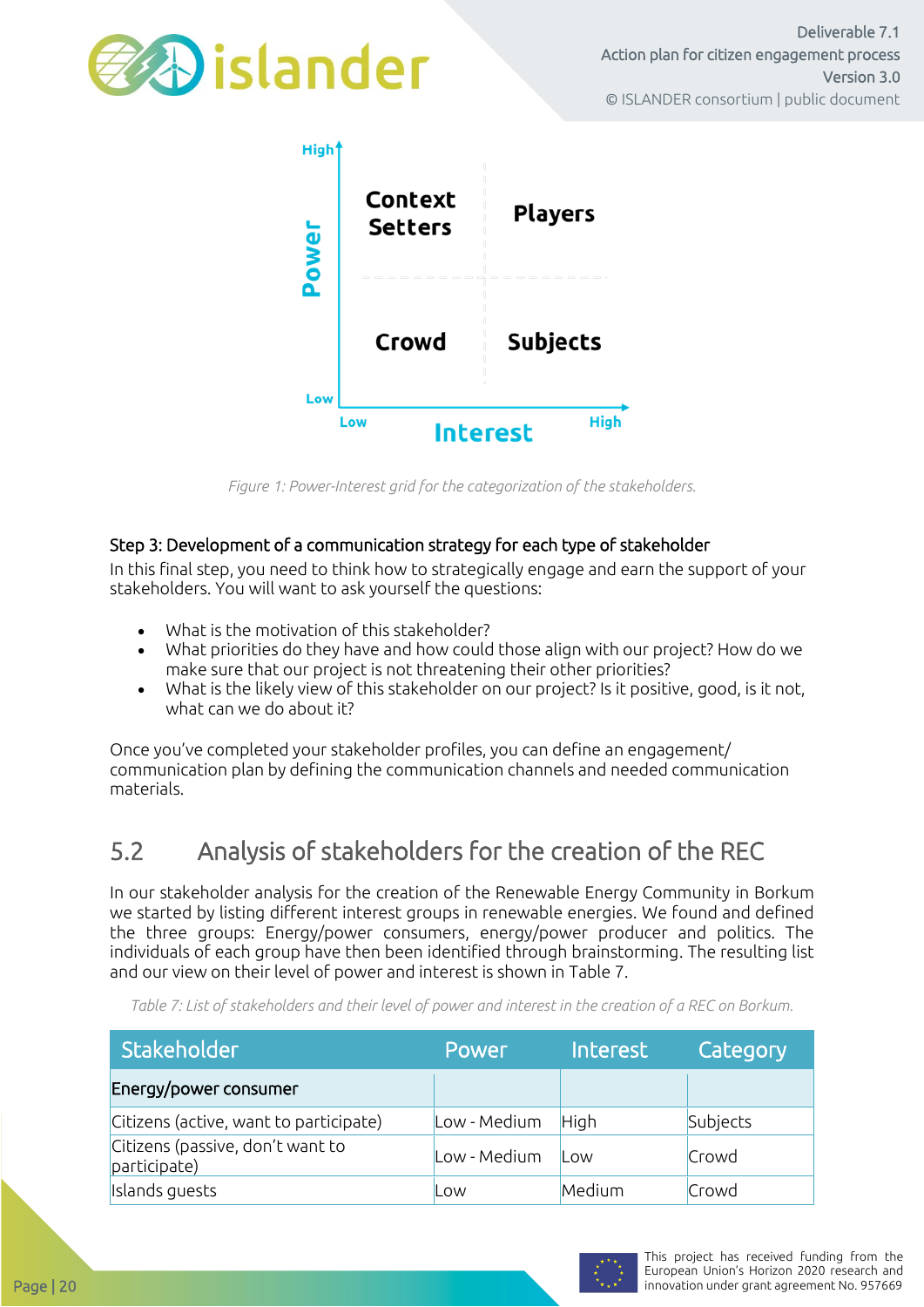



*Figure 1: Power-Interest grid for the categorization of the stakeholders.*

#### Step 3: Development of a communication strategy for each type of stakeholder

In this final step, you need to think how to strategically engage and earn the support of your stakeholders. You will want to ask yourself the questions:

- What is the motivation of this stakeholder?
- What priorities do they have and how could those align with our project? How do we make sure that our project is not threatening their other priorities?
- What is the likely view of this stakeholder on our project? Is it positive, good, is it not, what can we do about it?

Once you've completed your stakeholder profiles, you can define an engagement/ communication plan by defining the communication channels and needed communication materials.

### <span id="page-19-0"></span>5.2 Analysis of stakeholders for the creation of the REC

In our stakeholder analysis for the creation of the Renewable Energy Community in Borkum we started by listing different interest groups in renewable energies. We found and defined the three groups: Energy/power consumers, energy/power producer and politics. The individuals of each group have then been identified through brainstorming. The resulting list and our view on their level of power and interest is shown i[n Table 7.](#page-19-1)

Stakeholder **Power Interest** Category Energy/power consumer |Citizens (active, want to participate) |Low - Medium |High |Subjects Citizens (passive, don't want to enders (passive, don't want to  $\begin{bmatrix} \text{Low - Medium} & \text{Low} \end{bmatrix}$   $\begin{bmatrix} \text{Low} & \text{New} \end{bmatrix}$ Islands guests Low Medium Crowd

<span id="page-19-1"></span>*Table 7: List of stakeholders and their level of power and interest in the creation of a REC on Borkum.*

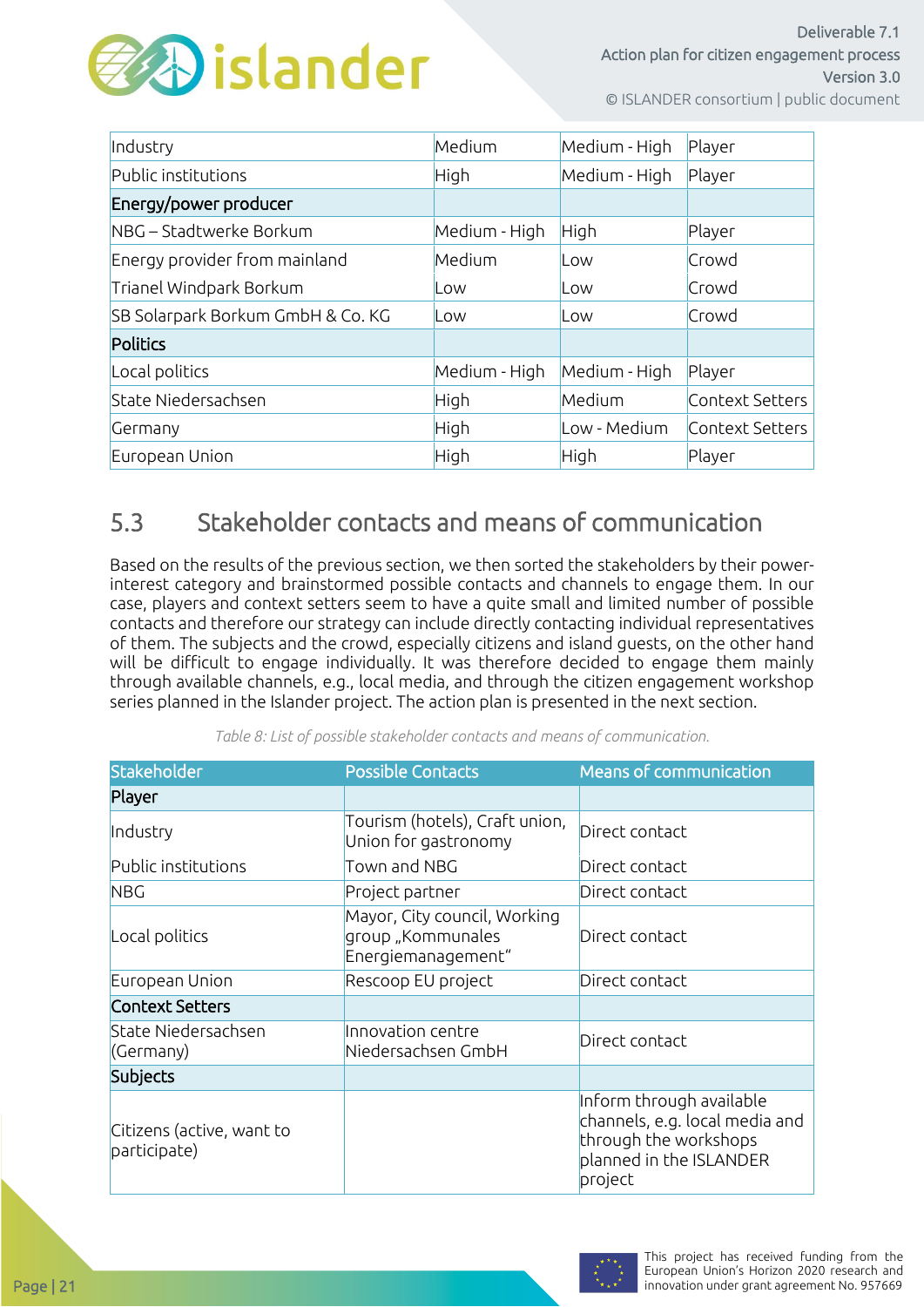

| Industry                          | Medium        | Medium - High | Player          |
|-----------------------------------|---------------|---------------|-----------------|
| Public institutions               | High          | Medium - High | Player          |
| Energy/power producer             |               |               |                 |
| NBG – Stadtwerke Borkum           | Medium - High | High          | Player          |
| Energy provider from mainland     | Medium        | Low           | Crowd           |
| Trianel Windpark Borkum           | Low           | Low           | Crowd           |
| SB Solarpark Borkum GmbH & Co. KG | Low           | Low           | Crowd           |
| <b>Politics</b>                   |               |               |                 |
| Local politics                    | Medium - High | Medium - High | Player          |
| State Niedersachsen               | High          | Medium        | Context Setters |
| Germany                           | High          | Low - Medium  | Context Setters |
| European Union                    | High          | High          | Player          |

### <span id="page-20-0"></span>5.3 Stakeholder contacts and means of communication

Based on the results of the previous section, we then sorted the stakeholders by their powerinterest category and brainstormed possible contacts and channels to engage them. In our case, players and context setters seem to have a quite small and limited number of possible contacts and therefore our strategy can include directly contacting individual representatives of them. The subjects and the crowd, especially citizens and island guests, on the other hand will be difficult to engage individually. It was therefore decided to engage them mainly through available channels, e.g., local media, and through the citizen engagement workshop series planned in the Islander project. The action plan is presented in the next section.

| Stakeholder<br><b>Possible Contacts</b>   |                                                                         | Means of communication                                                                                                    |  |  |  |
|-------------------------------------------|-------------------------------------------------------------------------|---------------------------------------------------------------------------------------------------------------------------|--|--|--|
| Player                                    |                                                                         |                                                                                                                           |  |  |  |
| Industry                                  | Tourism (hotels), Craft union,<br>Union for gastronomy                  |                                                                                                                           |  |  |  |
| Public institutions                       | Town and NBG                                                            | Direct contact                                                                                                            |  |  |  |
| <b>NBG</b>                                | Project partner                                                         | Direct contact                                                                                                            |  |  |  |
| Local politics                            | Mayor, City council, Working<br>group "Kommunales<br>Energiemanagement" | Direct contact                                                                                                            |  |  |  |
| European Union                            | Rescoop EU project                                                      | Direct contact                                                                                                            |  |  |  |
| <b>Context Setters</b>                    |                                                                         |                                                                                                                           |  |  |  |
| State Niedersachsen<br>(Germany)          | Innovation centre<br>Niedersachsen GmbH                                 | Direct contact                                                                                                            |  |  |  |
| <b>Subjects</b>                           |                                                                         |                                                                                                                           |  |  |  |
| Citizens (active, want to<br>participate) |                                                                         | Inform through available<br>channels, e.g. local media and<br>through the workshops<br>planned in the ISLANDER<br>project |  |  |  |

*Table 8: List of possible stakeholder contacts and means of communication.*

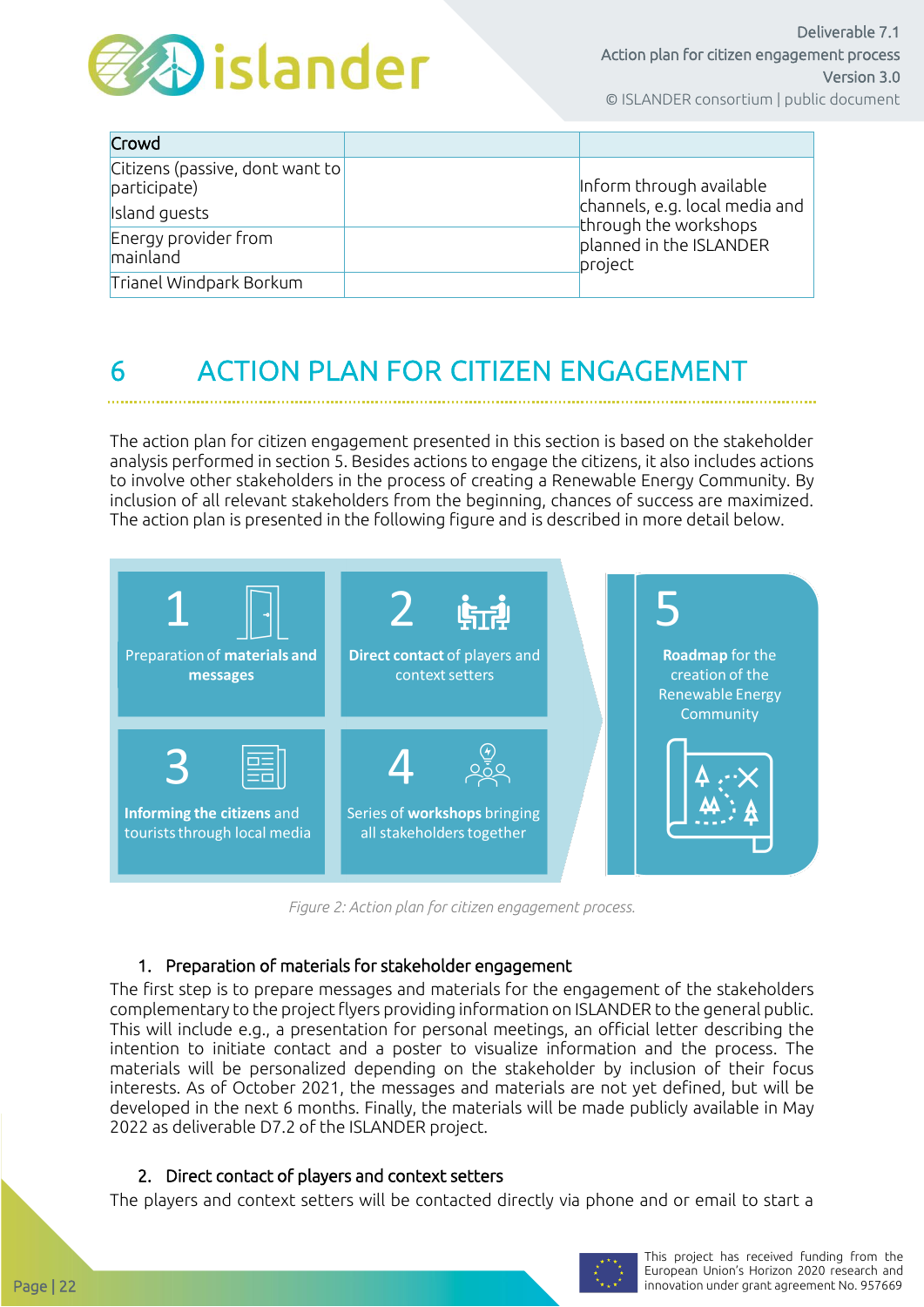

| Crowd                                           |                                                         |
|-------------------------------------------------|---------------------------------------------------------|
| Citizens (passive, dont want to<br>participate) | Inform through available                                |
| Island guests                                   | channels, e.g. local media and<br>through the workshops |
| Energy provider from<br>mainland                | planned in the ISLANDER<br>project                      |
| Trianel Windpark Borkum                         |                                                         |

# <span id="page-21-0"></span>6 ACTION PLAN FOR CITIZEN ENGAGEMENT

The action plan for citizen engagement presented in this section is based on the stakeholder analysis performed in section 5. Besides actions to engage the citizens, it also includes actions to involve other stakeholders in the process of creating a Renewable Energy Community. By inclusion of all relevant stakeholders from the beginning, chances of success are maximized. The action plan is presented in the following figure and is described in more detail below.



*Figure 2: Action plan for citizen engagement process.*

#### 1. Preparation of materials for stakeholder engagement

The first step is to prepare messages and materials for the engagement of the stakeholders complementary to the project flyers providing information on ISLANDER to the general public. This will include e.g., a presentation for personal meetings, an official letter describing the intention to initiate contact and a poster to visualize information and the process. The materials will be personalized depending on the stakeholder by inclusion of their focus interests. As of October 2021, the messages and materials are not yet defined, but will be developed in the next 6 months. Finally, the materials will be made publicly available in May 2022 as deliverable D7.2 of the ISLANDER project.

#### 2. Direct contact of players and context setters

The players and context setters will be contacted directly via phone and or email to start a

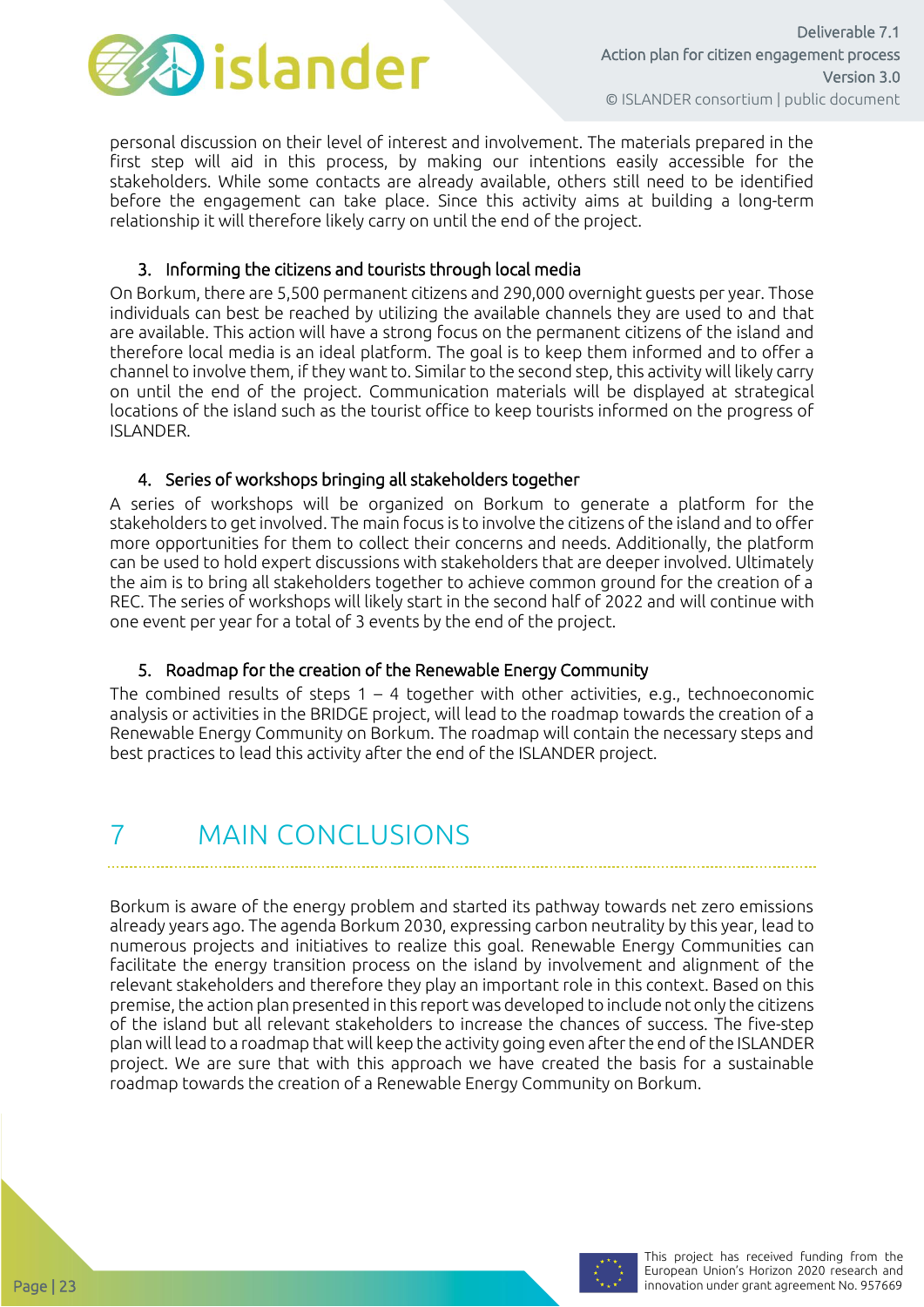

personal discussion on their level of interest and involvement. The materials prepared in the first step will aid in this process, by making our intentions easily accessible for the stakeholders. While some contacts are already available, others still need to be identified before the engagement can take place. Since this activity aims at building a long-term relationship it will therefore likely carry on until the end of the project.

#### 3. Informing the citizens and tourists through local media

On Borkum, there are 5,500 permanent citizens and 290,000 overnight guests per year. Those individuals can best be reached by utilizing the available channels they are used to and that are available. This action will have a strong focus on the permanent citizens of the island and therefore local media is an ideal platform. The goal is to keep them informed and to offer a channel to involve them, if they want to. Similar to the second step, this activity will likely carry on until the end of the project. Communication materials will be displayed at strategical locations of the island such as the tourist office to keep tourists informed on the progress of ISLANDER.

#### 4. Series of workshops bringing all stakeholders together

A series of workshops will be organized on Borkum to generate a platform for the stakeholders to get involved. The main focus is to involve the citizens of the island and to offer more opportunities for them to collect their concerns and needs. Additionally, the platform can be used to hold expert discussions with stakeholders that are deeper involved. Ultimately the aim is to bring all stakeholders together to achieve common ground for the creation of a REC. The series of workshops will likely start in the second half of 2022 and will continue with one event per year for a total of 3 events by the end of the project.

#### 5. Roadmap for the creation of the Renewable Energy Community

The combined results of steps  $1 - 4$  together with other activities, e.g., technoeconomic analysis or activities in the BRIDGE project, will lead to the roadmap towards the creation of a Renewable Energy Community on Borkum. The roadmap will contain the necessary steps and best practices to lead this activity after the end of the ISLANDER project.

# <span id="page-22-0"></span>7 MAIN CONCLUSIONS

Borkum is aware of the energy problem and started its pathway towards net zero emissions already years ago. The agenda Borkum 2030, expressing carbon neutrality by this year, lead to numerous projects and initiatives to realize this goal. Renewable Energy Communities can facilitate the energy transition process on the island by involvement and alignment of the relevant stakeholders and therefore they play an important role in this context. Based on this premise, the action plan presented in this report was developed to include not only the citizens of the island but all relevant stakeholders to increase the chances of success. The five-step plan will lead to a roadmap that will keep the activity going even after the end of the ISLANDER project. We are sure that with this approach we have created the basis for a sustainable roadmap towards the creation of a Renewable Energy Community on Borkum.